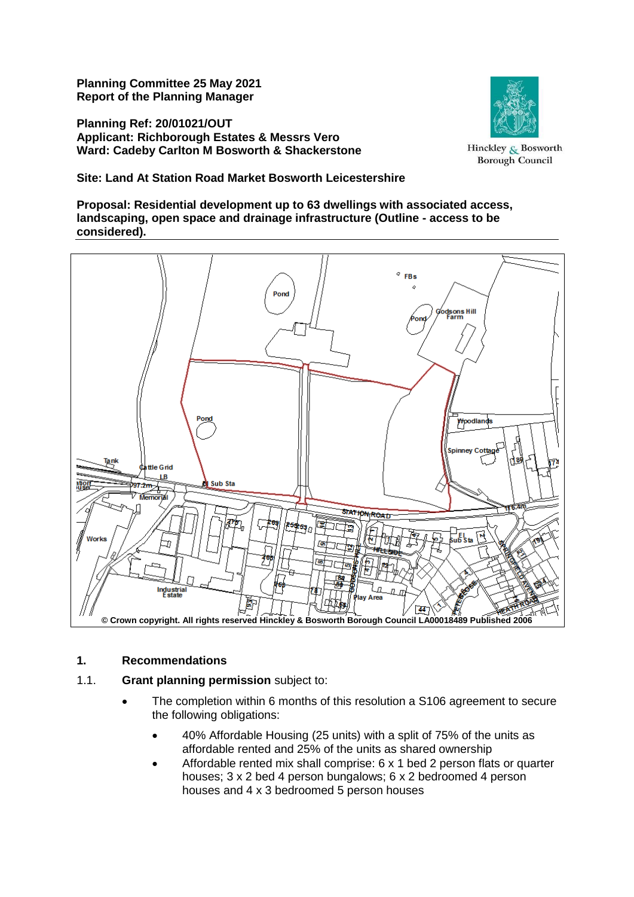**Planning Committee 25 May 2021 Report of the Planning Manager**

**Planning Ref: 20/01021/OUT Applicant: Richborough Estates & Messrs Vero Ward: Cadeby Carlton M Bosworth & Shackerstone**



Hinckley & Bosworth **Borough Council** 

**Site: Land At Station Road Market Bosworth Leicestershire**

**Proposal: Residential development up to 63 dwellings with associated access, landscaping, open space and drainage infrastructure (Outline - access to be considered).**



# **1. Recommendations**

# 1.1. **Grant planning permission** subject to:

- The completion within 6 months of this resolution a S106 agreement to secure the following obligations:
	- 40% Affordable Housing (25 units) with a split of 75% of the units as affordable rented and 25% of the units as shared ownership
	- Affordable rented mix shall comprise: 6 x 1 bed 2 person flats or quarter houses; 3 x 2 bed 4 person bungalows; 6 x 2 bedroomed 4 person houses and 4 x 3 bedroomed 5 person houses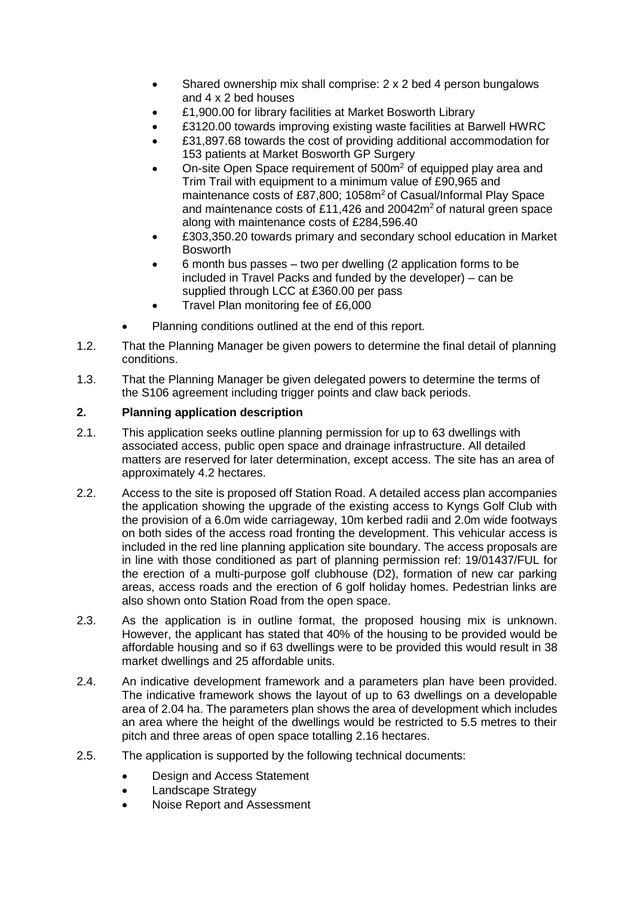- Shared ownership mix shall comprise: 2 x 2 bed 4 person bungalows and 4 x 2 bed houses
- £1,900.00 for library facilities at Market Bosworth Library
- £3120.00 towards improving existing waste facilities at Barwell HWRC
- £31,897.68 towards the cost of providing additional accommodation for 153 patients at Market Bosworth GP Surgery
- On-site Open Space requirement of 500m<sup>2</sup> of equipped play area and Trim Trail with equipment to a minimum value of £90,965 and maintenance costs of £87,800; 1058m<sup>2</sup> of Casual/Informal Play Space and maintenance costs of £11,426 and 20042m<sup>2</sup> of natural green space along with maintenance costs of £284,596.40
- £303,350.20 towards primary and secondary school education in Market Bosworth
- 6 month bus passes two per dwelling (2 application forms to be included in Travel Packs and funded by the developer) – can be supplied through LCC at £360.00 per pass
- Travel Plan monitoring fee of £6,000
- Planning conditions outlined at the end of this report.
- 1.2. That the Planning Manager be given powers to determine the final detail of planning conditions.
- 1.3. That the Planning Manager be given delegated powers to determine the terms of the S106 agreement including trigger points and claw back periods.

# **2. Planning application description**

- 2.1. This application seeks outline planning permission for up to 63 dwellings with associated access, public open space and drainage infrastructure. All detailed matters are reserved for later determination, except access. The site has an area of approximately 4.2 hectares.
- 2.2. Access to the site is proposed off Station Road. A detailed access plan accompanies the application showing the upgrade of the existing access to Kyngs Golf Club with the provision of a 6.0m wide carriageway, 10m kerbed radii and 2.0m wide footways on both sides of the access road fronting the development. This vehicular access is included in the red line planning application site boundary. The access proposals are in line with those conditioned as part of planning permission ref: 19/01437/FUL for the erection of a multi-purpose golf clubhouse (D2), formation of new car parking areas, access roads and the erection of 6 golf holiday homes. Pedestrian links are also shown onto Station Road from the open space.
- 2.3. As the application is in outline format, the proposed housing mix is unknown. However, the applicant has stated that 40% of the housing to be provided would be affordable housing and so if 63 dwellings were to be provided this would result in 38 market dwellings and 25 affordable units.
- 2.4. An indicative development framework and a parameters plan have been provided. The indicative framework shows the layout of up to 63 dwellings on a developable area of 2.04 ha. The parameters plan shows the area of development which includes an area where the height of the dwellings would be restricted to 5.5 metres to their pitch and three areas of open space totalling 2.16 hectares.
- 2.5. The application is supported by the following technical documents:
	- Design and Access Statement
	- Landscape Strategy
	- Noise Report and Assessment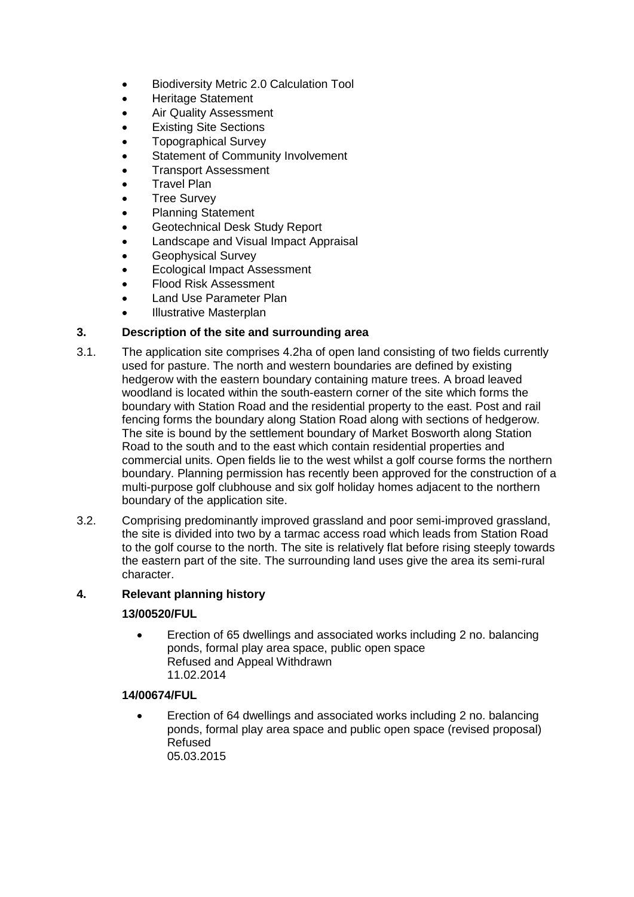- Biodiversity Metric 2.0 Calculation Tool
- Heritage Statement
- Air Quality Assessment
- Existing Site Sections
- Topographical Survey
- Statement of Community Involvement
- Transport Assessment
- Travel Plan
- Tree Survey
- Planning Statement
- Geotechnical Desk Study Report
- Landscape and Visual Impact Appraisal
- Geophysical Survey
- Ecological Impact Assessment
- Flood Risk Assessment
- Land Use Parameter Plan
- Illustrative Masterplan

# **3. Description of the site and surrounding area**

- 3.1. The application site comprises 4.2ha of open land consisting of two fields currently used for pasture. The north and western boundaries are defined by existing hedgerow with the eastern boundary containing mature trees. A broad leaved woodland is located within the south-eastern corner of the site which forms the boundary with Station Road and the residential property to the east. Post and rail fencing forms the boundary along Station Road along with sections of hedgerow. The site is bound by the settlement boundary of Market Bosworth along Station Road to the south and to the east which contain residential properties and commercial units. Open fields lie to the west whilst a golf course forms the northern boundary. Planning permission has recently been approved for the construction of a multi-purpose golf clubhouse and six golf holiday homes adjacent to the northern boundary of the application site.
- 3.2. Comprising predominantly improved grassland and poor semi-improved grassland, the site is divided into two by a tarmac access road which leads from Station Road to the golf course to the north. The site is relatively flat before rising steeply towards the eastern part of the site. The surrounding land uses give the area its semi-rural character.

# **4. Relevant planning history**

# **13/00520/FUL**

 Erection of 65 dwellings and associated works including 2 no. balancing ponds, formal play area space, public open space Refused and Appeal Withdrawn 11.02.2014

# **14/00674/FUL**

 Erection of 64 dwellings and associated works including 2 no. balancing ponds, formal play area space and public open space (revised proposal) Refused 05.03.2015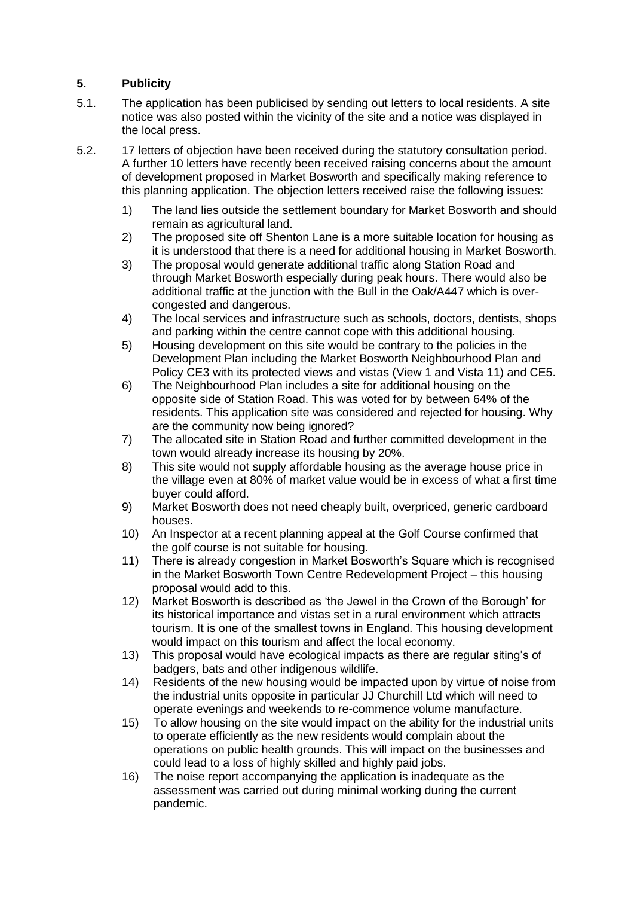# **5. Publicity**

- 5.1. The application has been publicised by sending out letters to local residents. A site notice was also posted within the vicinity of the site and a notice was displayed in the local press.
- 5.2. 17 letters of objection have been received during the statutory consultation period. A further 10 letters have recently been received raising concerns about the amount of development proposed in Market Bosworth and specifically making reference to this planning application. The objection letters received raise the following issues:
	- 1) The land lies outside the settlement boundary for Market Bosworth and should remain as agricultural land.
	- 2) The proposed site off Shenton Lane is a more suitable location for housing as it is understood that there is a need for additional housing in Market Bosworth.
	- 3) The proposal would generate additional traffic along Station Road and through Market Bosworth especially during peak hours. There would also be additional traffic at the junction with the Bull in the Oak/A447 which is overcongested and dangerous.
	- 4) The local services and infrastructure such as schools, doctors, dentists, shops and parking within the centre cannot cope with this additional housing.
	- 5) Housing development on this site would be contrary to the policies in the Development Plan including the Market Bosworth Neighbourhood Plan and Policy CE3 with its protected views and vistas (View 1 and Vista 11) and CE5.
	- 6) The Neighbourhood Plan includes a site for additional housing on the opposite side of Station Road. This was voted for by between 64% of the residents. This application site was considered and rejected for housing. Why are the community now being ignored?
	- 7) The allocated site in Station Road and further committed development in the town would already increase its housing by 20%.
	- 8) This site would not supply affordable housing as the average house price in the village even at 80% of market value would be in excess of what a first time buyer could afford.
	- 9) Market Bosworth does not need cheaply built, overpriced, generic cardboard houses.
	- 10) An Inspector at a recent planning appeal at the Golf Course confirmed that the golf course is not suitable for housing.
	- 11) There is already congestion in Market Bosworth's Square which is recognised in the Market Bosworth Town Centre Redevelopment Project – this housing proposal would add to this.
	- 12) Market Bosworth is described as 'the Jewel in the Crown of the Borough' for its historical importance and vistas set in a rural environment which attracts tourism. It is one of the smallest towns in England. This housing development would impact on this tourism and affect the local economy.
	- 13) This proposal would have ecological impacts as there are regular siting's of badgers, bats and other indigenous wildlife.
	- 14) Residents of the new housing would be impacted upon by virtue of noise from the industrial units opposite in particular JJ Churchill Ltd which will need to operate evenings and weekends to re-commence volume manufacture.
	- 15) To allow housing on the site would impact on the ability for the industrial units to operate efficiently as the new residents would complain about the operations on public health grounds. This will impact on the businesses and could lead to a loss of highly skilled and highly paid jobs.
	- 16) The noise report accompanying the application is inadequate as the assessment was carried out during minimal working during the current pandemic.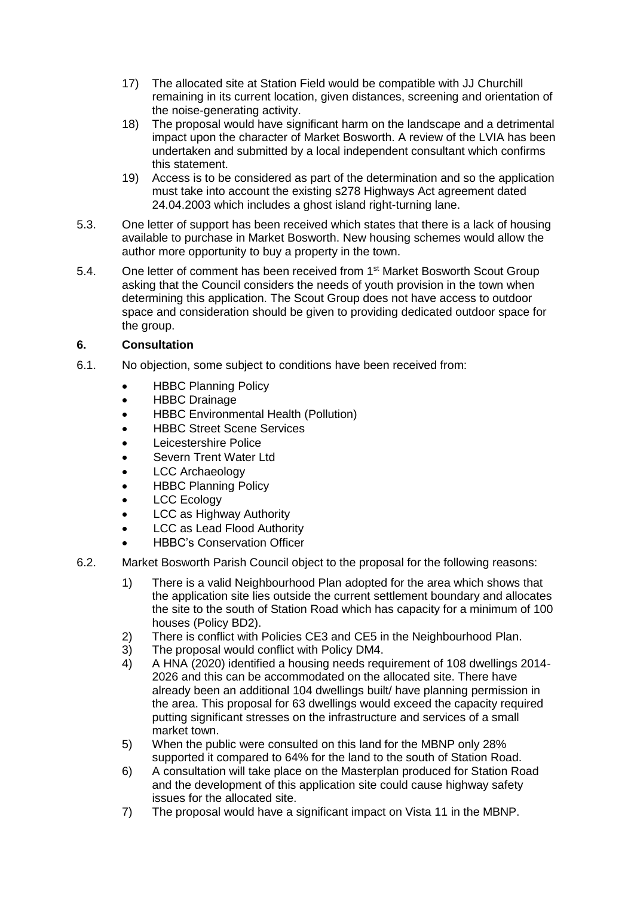- 17) The allocated site at Station Field would be compatible with JJ Churchill remaining in its current location, given distances, screening and orientation of the noise-generating activity.
- 18) The proposal would have significant harm on the landscape and a detrimental impact upon the character of Market Bosworth. A review of the LVIA has been undertaken and submitted by a local independent consultant which confirms this statement.
- 19) Access is to be considered as part of the determination and so the application must take into account the existing s278 Highways Act agreement dated 24.04.2003 which includes a ghost island right-turning lane.
- 5.3. One letter of support has been received which states that there is a lack of housing available to purchase in Market Bosworth. New housing schemes would allow the author more opportunity to buy a property in the town.
- 5.4. One letter of comment has been received from 1<sup>st</sup> Market Bosworth Scout Group asking that the Council considers the needs of youth provision in the town when determining this application. The Scout Group does not have access to outdoor space and consideration should be given to providing dedicated outdoor space for the group.

# **6. Consultation**

- 6.1. No objection, some subject to conditions have been received from:
	- HBBC Planning Policy
	- HBBC Drainage
	- HBBC Environmental Health (Pollution)
	- HBBC Street Scene Services
	- Leicestershire Police
	- Severn Trent Water Ltd
	- LCC Archaeology
	- HBBC Planning Policy
	- LCC Ecology
	- LCC as Highway Authority
	- LCC as Lead Flood Authority
	- HBBC's Conservation Officer
- 6.2. Market Bosworth Parish Council object to the proposal for the following reasons:
	- 1) There is a valid Neighbourhood Plan adopted for the area which shows that the application site lies outside the current settlement boundary and allocates the site to the south of Station Road which has capacity for a minimum of 100 houses (Policy BD2).
	- 2) There is conflict with Policies CE3 and CE5 in the Neighbourhood Plan.
	- 3) The proposal would conflict with Policy DM4.
	- 4) A HNA (2020) identified a housing needs requirement of 108 dwellings 2014- 2026 and this can be accommodated on the allocated site. There have already been an additional 104 dwellings built/ have planning permission in the area. This proposal for 63 dwellings would exceed the capacity required putting significant stresses on the infrastructure and services of a small market town.
	- 5) When the public were consulted on this land for the MBNP only 28% supported it compared to 64% for the land to the south of Station Road.
	- 6) A consultation will take place on the Masterplan produced for Station Road and the development of this application site could cause highway safety issues for the allocated site.
	- 7) The proposal would have a significant impact on Vista 11 in the MBNP.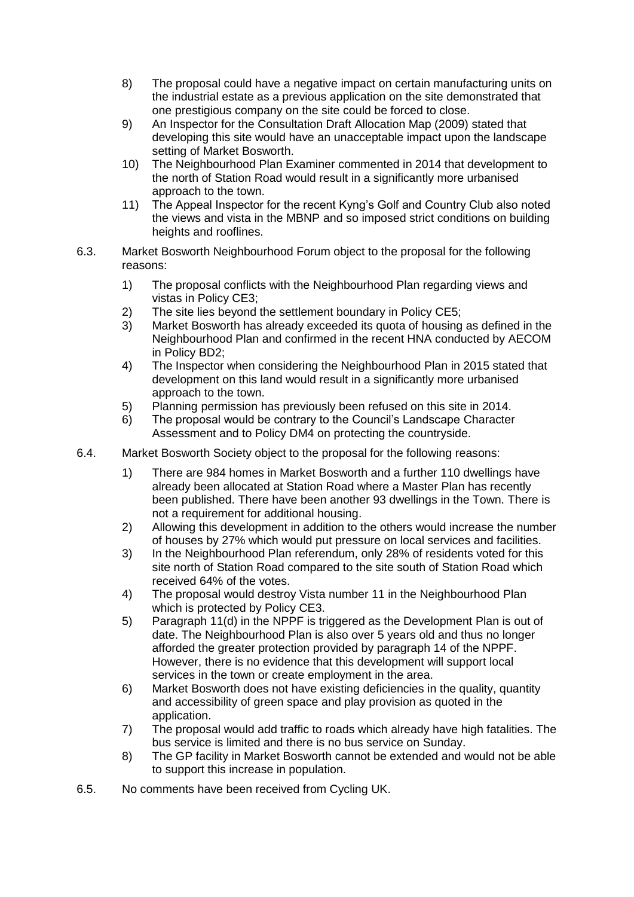- 8) The proposal could have a negative impact on certain manufacturing units on the industrial estate as a previous application on the site demonstrated that one prestigious company on the site could be forced to close.
- 9) An Inspector for the Consultation Draft Allocation Map (2009) stated that developing this site would have an unacceptable impact upon the landscape setting of Market Bosworth.
- 10) The Neighbourhood Plan Examiner commented in 2014 that development to the north of Station Road would result in a significantly more urbanised approach to the town.
- 11) The Appeal Inspector for the recent Kyng's Golf and Country Club also noted the views and vista in the MBNP and so imposed strict conditions on building heights and rooflines.
- 6.3. Market Bosworth Neighbourhood Forum object to the proposal for the following reasons:
	- 1) The proposal conflicts with the Neighbourhood Plan regarding views and vistas in Policy CE3;
	- 2) The site lies beyond the settlement boundary in Policy CE5;
	- 3) Market Bosworth has already exceeded its quota of housing as defined in the Neighbourhood Plan and confirmed in the recent HNA conducted by AECOM in Policy BD2;
	- 4) The Inspector when considering the Neighbourhood Plan in 2015 stated that development on this land would result in a significantly more urbanised approach to the town.
	- 5) Planning permission has previously been refused on this site in 2014.
	- 6) The proposal would be contrary to the Council's Landscape Character Assessment and to Policy DM4 on protecting the countryside.
- 6.4. Market Bosworth Society object to the proposal for the following reasons:
	- 1) There are 984 homes in Market Bosworth and a further 110 dwellings have already been allocated at Station Road where a Master Plan has recently been published. There have been another 93 dwellings in the Town. There is not a requirement for additional housing.
	- 2) Allowing this development in addition to the others would increase the number of houses by 27% which would put pressure on local services and facilities.
	- 3) In the Neighbourhood Plan referendum, only 28% of residents voted for this site north of Station Road compared to the site south of Station Road which received 64% of the votes.
	- 4) The proposal would destroy Vista number 11 in the Neighbourhood Plan which is protected by Policy CE3.
	- 5) Paragraph 11(d) in the NPPF is triggered as the Development Plan is out of date. The Neighbourhood Plan is also over 5 years old and thus no longer afforded the greater protection provided by paragraph 14 of the NPPF. However, there is no evidence that this development will support local services in the town or create employment in the area.
	- 6) Market Bosworth does not have existing deficiencies in the quality, quantity and accessibility of green space and play provision as quoted in the application.
	- 7) The proposal would add traffic to roads which already have high fatalities. The bus service is limited and there is no bus service on Sunday.
	- 8) The GP facility in Market Bosworth cannot be extended and would not be able to support this increase in population.
- 6.5. No comments have been received from Cycling UK.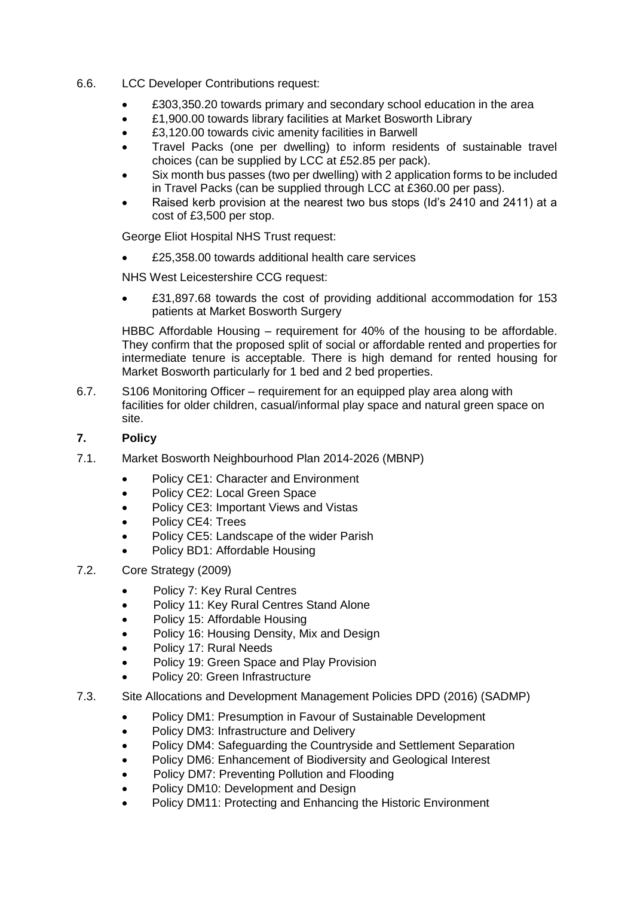- 6.6. LCC Developer Contributions request:
	- £303,350.20 towards primary and secondary school education in the area
	- £1,900.00 towards library facilities at Market Bosworth Library
	- £3,120.00 towards civic amenity facilities in Barwell
	- Travel Packs (one per dwelling) to inform residents of sustainable travel choices (can be supplied by LCC at £52.85 per pack).
	- Six month bus passes (two per dwelling) with 2 application forms to be included in Travel Packs (can be supplied through LCC at £360.00 per pass).
	- Raised kerb provision at the nearest two bus stops (Id's 2410 and 2411) at a cost of £3,500 per stop.

George Eliot Hospital NHS Trust request:

£25,358.00 towards additional health care services

NHS West Leicestershire CCG request:

 £31,897.68 towards the cost of providing additional accommodation for 153 patients at Market Bosworth Surgery

HBBC Affordable Housing – requirement for 40% of the housing to be affordable. They confirm that the proposed split of social or affordable rented and properties for intermediate tenure is acceptable. There is high demand for rented housing for Market Bosworth particularly for 1 bed and 2 bed properties.

6.7. S106 Monitoring Officer – requirement for an equipped play area along with facilities for older children, casual/informal play space and natural green space on site.

# **7. Policy**

- 7.1. Market Bosworth Neighbourhood Plan 2014-2026 (MBNP)
	- Policy CE1: Character and Environment
	- Policy CE2: Local Green Space
	- Policy CE3: Important Views and Vistas
	- Policy CE4: Trees
	- Policy CE5: Landscape of the wider Parish
	- Policy BD1: Affordable Housing
- 7.2. Core Strategy (2009)
	- Policy 7: Key Rural Centres
	- Policy 11: Key Rural Centres Stand Alone
	- Policy 15: Affordable Housing
	- Policy 16: Housing Density, Mix and Design
	- Policy 17: Rural Needs
	- Policy 19: Green Space and Play Provision
	- Policy 20: Green Infrastructure
- 7.3. Site Allocations and Development Management Policies DPD (2016) (SADMP)
	- Policy DM1: Presumption in Favour of Sustainable Development
	- Policy DM3: Infrastructure and Delivery
	- Policy DM4: Safeguarding the Countryside and Settlement Separation
	- Policy DM6: Enhancement of Biodiversity and Geological Interest
	- Policy DM7: Preventing Pollution and Flooding
	- Policy DM10: Development and Design
	- Policy DM11: Protecting and Enhancing the Historic Environment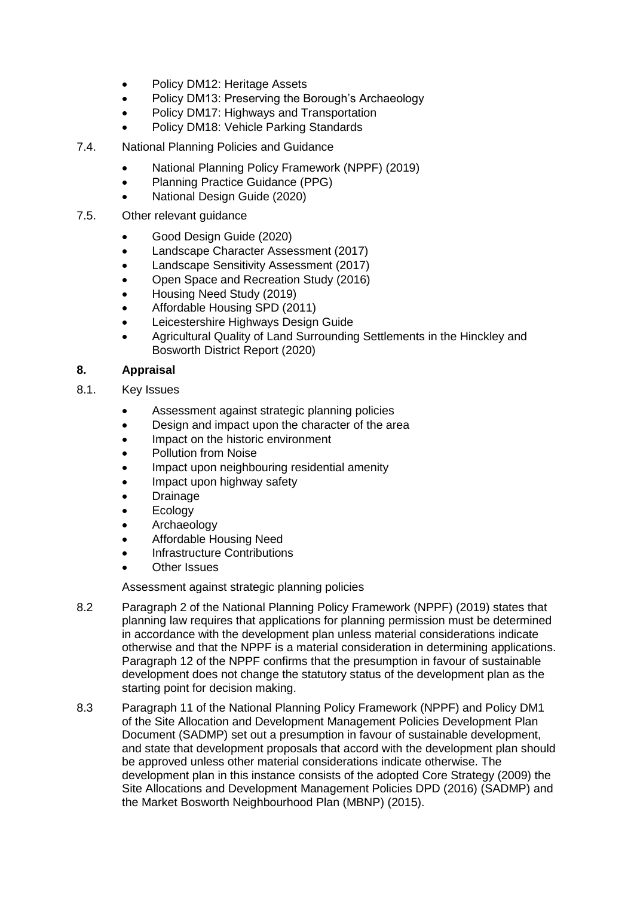- Policy DM12: Heritage Assets
- Policy DM13: Preserving the Borough's Archaeology
- Policy DM17: Highways and Transportation
- Policy DM18: Vehicle Parking Standards
- 7.4. National Planning Policies and Guidance
	- National Planning Policy Framework (NPPF) (2019)
	- Planning Practice Guidance (PPG)
	- National Design Guide (2020)
- 7.5. Other relevant guidance
	- Good Design Guide (2020)
	- Landscape Character Assessment (2017)
	- Landscape Sensitivity Assessment (2017)
	- Open Space and Recreation Study (2016)
	- Housing Need Study (2019)
	- Affordable Housing SPD (2011)
	- Leicestershire Highways Design Guide
	- Agricultural Quality of Land Surrounding Settlements in the Hinckley and Bosworth District Report (2020)

# **8. Appraisal**

- 8.1. Key Issues
	- Assessment against strategic planning policies
	- Design and impact upon the character of the area
	- Impact on the historic environment
	- Pollution from Noise
	- Impact upon neighbouring residential amenity
	- Impact upon highway safety
	- **Drainage**
	- Ecology
	- Archaeology
	- Affordable Housing Need
	- Infrastructure Contributions
	- Other Issues

Assessment against strategic planning policies

- 8.2 Paragraph 2 of the National Planning Policy Framework (NPPF) (2019) states that planning law requires that applications for planning permission must be determined in accordance with the development plan unless material considerations indicate otherwise and that the NPPF is a material consideration in determining applications. Paragraph 12 of the NPPF confirms that the presumption in favour of sustainable development does not change the statutory status of the development plan as the starting point for decision making.
- 8.3 Paragraph 11 of the National Planning Policy Framework (NPPF) and Policy DM1 of the Site Allocation and Development Management Policies Development Plan Document (SADMP) set out a presumption in favour of sustainable development, and state that development proposals that accord with the development plan should be approved unless other material considerations indicate otherwise. The development plan in this instance consists of the adopted Core Strategy (2009) the Site Allocations and Development Management Policies DPD (2016) (SADMP) and the Market Bosworth Neighbourhood Plan (MBNP) (2015).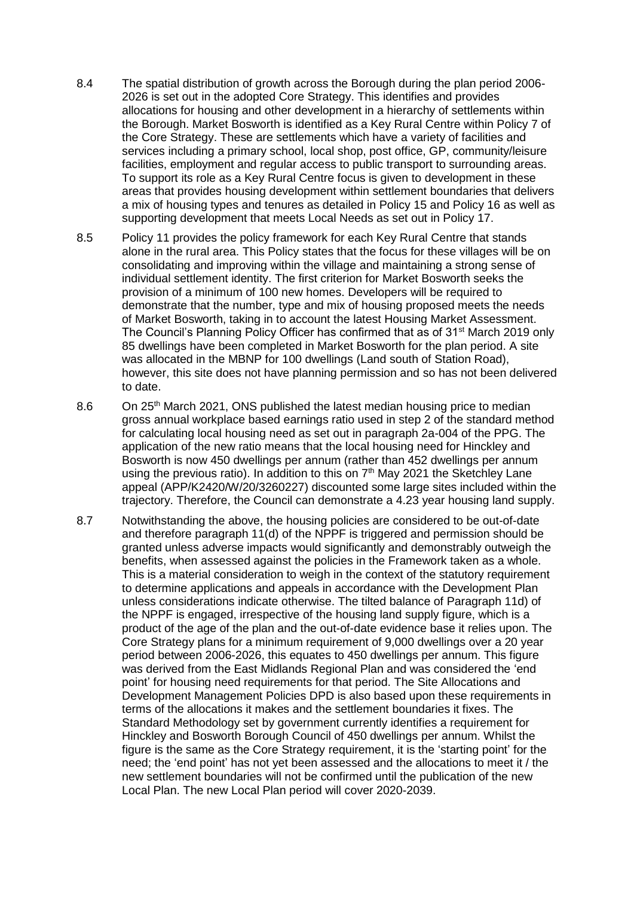- 8.4 The spatial distribution of growth across the Borough during the plan period 2006- 2026 is set out in the adopted Core Strategy. This identifies and provides allocations for housing and other development in a hierarchy of settlements within the Borough. Market Bosworth is identified as a Key Rural Centre within Policy 7 of the Core Strategy. These are settlements which have a variety of facilities and services including a primary school, local shop, post office, GP, community/leisure facilities, employment and regular access to public transport to surrounding areas. To support its role as a Key Rural Centre focus is given to development in these areas that provides housing development within settlement boundaries that delivers a mix of housing types and tenures as detailed in Policy 15 and Policy 16 as well as supporting development that meets Local Needs as set out in Policy 17.
- 8.5 Policy 11 provides the policy framework for each Key Rural Centre that stands alone in the rural area. This Policy states that the focus for these villages will be on consolidating and improving within the village and maintaining a strong sense of individual settlement identity. The first criterion for Market Bosworth seeks the provision of a minimum of 100 new homes. Developers will be required to demonstrate that the number, type and mix of housing proposed meets the needs of Market Bosworth, taking in to account the latest Housing Market Assessment. The Council's Planning Policy Officer has confirmed that as of 31<sup>st</sup> March 2019 only 85 dwellings have been completed in Market Bosworth for the plan period. A site was allocated in the MBNP for 100 dwellings (Land south of Station Road), however, this site does not have planning permission and so has not been delivered to date.
- 8.6 On 25<sup>th</sup> March 2021, ONS published the latest median housing price to median gross annual workplace based earnings ratio used in step 2 of the standard method for calculating local housing need as set out in paragraph 2a-004 of the PPG. The application of the new ratio means that the local housing need for Hinckley and Bosworth is now 450 dwellings per annum (rather than 452 dwellings per annum using the previous ratio). In addition to this on 7<sup>th</sup> May 2021 the Sketchley Lane appeal (APP/K2420/W/20/3260227) discounted some large sites included within the trajectory. Therefore, the Council can demonstrate a 4.23 year housing land supply.
- 8.7 Notwithstanding the above, the housing policies are considered to be out-of-date and therefore paragraph 11(d) of the NPPF is triggered and permission should be granted unless adverse impacts would significantly and demonstrably outweigh the benefits, when assessed against the policies in the Framework taken as a whole. This is a material consideration to weigh in the context of the statutory requirement to determine applications and appeals in accordance with the Development Plan unless considerations indicate otherwise. The tilted balance of Paragraph 11d) of the NPPF is engaged, irrespective of the housing land supply figure, which is a product of the age of the plan and the out-of-date evidence base it relies upon. The Core Strategy plans for a minimum requirement of 9,000 dwellings over a 20 year period between 2006-2026, this equates to 450 dwellings per annum. This figure was derived from the East Midlands Regional Plan and was considered the 'end point' for housing need requirements for that period. The Site Allocations and Development Management Policies DPD is also based upon these requirements in terms of the allocations it makes and the settlement boundaries it fixes. The Standard Methodology set by government currently identifies a requirement for Hinckley and Bosworth Borough Council of 450 dwellings per annum. Whilst the figure is the same as the Core Strategy requirement, it is the 'starting point' for the need; the 'end point' has not yet been assessed and the allocations to meet it / the new settlement boundaries will not be confirmed until the publication of the new Local Plan. The new Local Plan period will cover 2020-2039.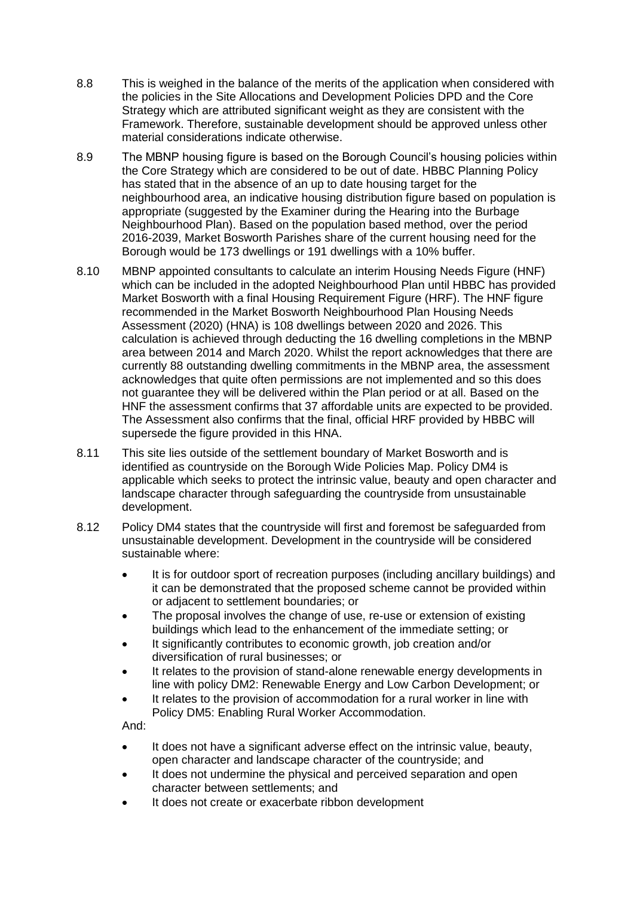- 8.8 This is weighed in the balance of the merits of the application when considered with the policies in the Site Allocations and Development Policies DPD and the Core Strategy which are attributed significant weight as they are consistent with the Framework. Therefore, sustainable development should be approved unless other material considerations indicate otherwise.
- 8.9 The MBNP housing figure is based on the Borough Council's housing policies within the Core Strategy which are considered to be out of date. HBBC Planning Policy has stated that in the absence of an up to date housing target for the neighbourhood area, an indicative housing distribution figure based on population is appropriate (suggested by the Examiner during the Hearing into the Burbage Neighbourhood Plan). Based on the population based method, over the period 2016-2039, Market Bosworth Parishes share of the current housing need for the Borough would be 173 dwellings or 191 dwellings with a 10% buffer.
- 8.10 MBNP appointed consultants to calculate an interim Housing Needs Figure (HNF) which can be included in the adopted Neighbourhood Plan until HBBC has provided Market Bosworth with a final Housing Requirement Figure (HRF). The HNF figure recommended in the Market Bosworth Neighbourhood Plan Housing Needs Assessment (2020) (HNA) is 108 dwellings between 2020 and 2026. This calculation is achieved through deducting the 16 dwelling completions in the MBNP area between 2014 and March 2020. Whilst the report acknowledges that there are currently 88 outstanding dwelling commitments in the MBNP area, the assessment acknowledges that quite often permissions are not implemented and so this does not guarantee they will be delivered within the Plan period or at all. Based on the HNF the assessment confirms that 37 affordable units are expected to be provided. The Assessment also confirms that the final, official HRF provided by HBBC will supersede the figure provided in this HNA.
- 8.11 This site lies outside of the settlement boundary of Market Bosworth and is identified as countryside on the Borough Wide Policies Map. Policy DM4 is applicable which seeks to protect the intrinsic value, beauty and open character and landscape character through safeguarding the countryside from unsustainable development.
- 8.12 Policy DM4 states that the countryside will first and foremost be safeguarded from unsustainable development. Development in the countryside will be considered sustainable where:
	- It is for outdoor sport of recreation purposes (including ancillary buildings) and it can be demonstrated that the proposed scheme cannot be provided within or adjacent to settlement boundaries; or
	- The proposal involves the change of use, re-use or extension of existing buildings which lead to the enhancement of the immediate setting; or
	- It significantly contributes to economic growth, job creation and/or diversification of rural businesses; or
	- It relates to the provision of stand-alone renewable energy developments in line with policy DM2: Renewable Energy and Low Carbon Development; or
	- It relates to the provision of accommodation for a rural worker in line with Policy DM5: Enabling Rural Worker Accommodation.

And:

- It does not have a significant adverse effect on the intrinsic value, beauty, open character and landscape character of the countryside; and
- It does not undermine the physical and perceived separation and open character between settlements; and
- It does not create or exacerbate ribbon development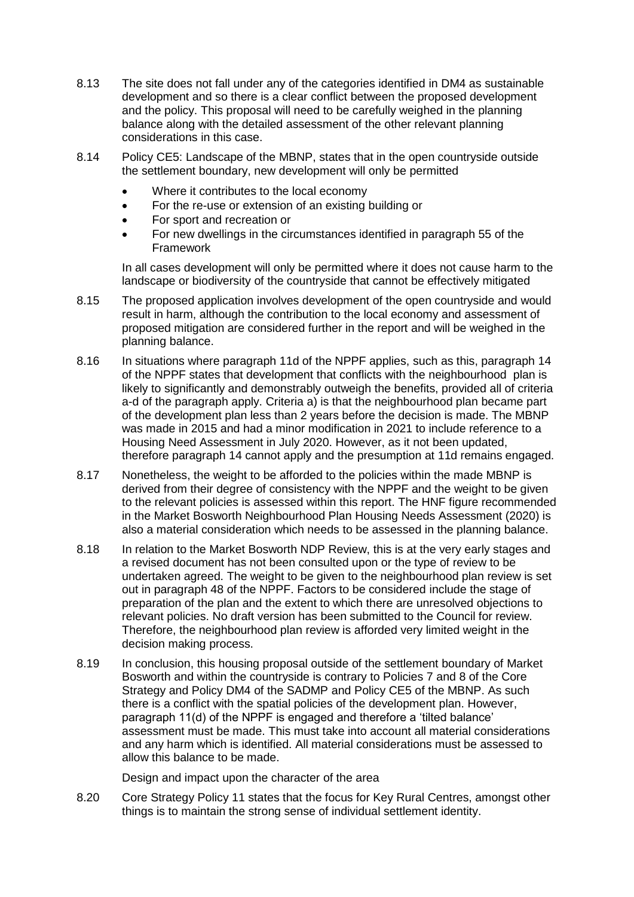- 8.13 The site does not fall under any of the categories identified in DM4 as sustainable development and so there is a clear conflict between the proposed development and the policy. This proposal will need to be carefully weighed in the planning balance along with the detailed assessment of the other relevant planning considerations in this case.
- 8.14 Policy CE5: Landscape of the MBNP, states that in the open countryside outside the settlement boundary, new development will only be permitted
	- Where it contributes to the local economy
	- For the re-use or extension of an existing building or
	- For sport and recreation or
	- For new dwellings in the circumstances identified in paragraph 55 of the **Framework**

In all cases development will only be permitted where it does not cause harm to the landscape or biodiversity of the countryside that cannot be effectively mitigated

- 8.15 The proposed application involves development of the open countryside and would result in harm, although the contribution to the local economy and assessment of proposed mitigation are considered further in the report and will be weighed in the planning balance.
- 8.16 In situations where paragraph 11d of the NPPF applies, such as this, paragraph 14 of the NPPF states that development that conflicts with the neighbourhood plan is likely to significantly and demonstrably outweigh the benefits, provided all of criteria a-d of the paragraph apply. Criteria a) is that the neighbourhood plan became part of the development plan less than 2 years before the decision is made. The MBNP was made in 2015 and had a minor modification in 2021 to include reference to a Housing Need Assessment in July 2020. However, as it not been updated, therefore paragraph 14 cannot apply and the presumption at 11d remains engaged.
- 8.17 Nonetheless, the weight to be afforded to the policies within the made MBNP is derived from their degree of consistency with the NPPF and the weight to be given to the relevant policies is assessed within this report. The HNF figure recommended in the Market Bosworth Neighbourhood Plan Housing Needs Assessment (2020) is also a material consideration which needs to be assessed in the planning balance.
- 8.18 In relation to the Market Bosworth NDP Review, this is at the very early stages and a revised document has not been consulted upon or the type of review to be undertaken agreed. The weight to be given to the neighbourhood plan review is set out in paragraph 48 of the NPPF. Factors to be considered include the stage of preparation of the plan and the extent to which there are unresolved objections to relevant policies. No draft version has been submitted to the Council for review. Therefore, the neighbourhood plan review is afforded very limited weight in the decision making process.
- 8.19 In conclusion, this housing proposal outside of the settlement boundary of Market Bosworth and within the countryside is contrary to Policies 7 and 8 of the Core Strategy and Policy DM4 of the SADMP and Policy CE5 of the MBNP. As such there is a conflict with the spatial policies of the development plan. However, paragraph 11(d) of the NPPF is engaged and therefore a 'tilted balance' assessment must be made. This must take into account all material considerations and any harm which is identified. All material considerations must be assessed to allow this balance to be made.

Design and impact upon the character of the area

8.20 Core Strategy Policy 11 states that the focus for Key Rural Centres, amongst other things is to maintain the strong sense of individual settlement identity.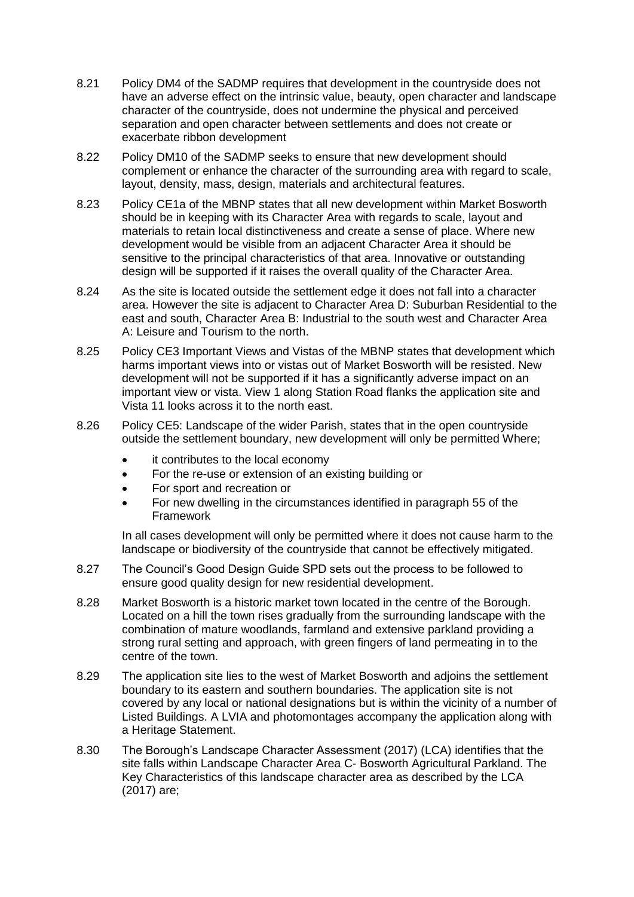- 8.21 Policy DM4 of the SADMP requires that development in the countryside does not have an adverse effect on the intrinsic value, beauty, open character and landscape character of the countryside, does not undermine the physical and perceived separation and open character between settlements and does not create or exacerbate ribbon development
- 8.22 Policy DM10 of the SADMP seeks to ensure that new development should complement or enhance the character of the surrounding area with regard to scale, layout, density, mass, design, materials and architectural features.
- 8.23 Policy CE1a of the MBNP states that all new development within Market Bosworth should be in keeping with its Character Area with regards to scale, layout and materials to retain local distinctiveness and create a sense of place. Where new development would be visible from an adjacent Character Area it should be sensitive to the principal characteristics of that area. Innovative or outstanding design will be supported if it raises the overall quality of the Character Area.
- 8.24 As the site is located outside the settlement edge it does not fall into a character area. However the site is adjacent to Character Area D: Suburban Residential to the east and south, Character Area B: Industrial to the south west and Character Area A: Leisure and Tourism to the north.
- 8.25 Policy CE3 Important Views and Vistas of the MBNP states that development which harms important views into or vistas out of Market Bosworth will be resisted. New development will not be supported if it has a significantly adverse impact on an important view or vista. View 1 along Station Road flanks the application site and Vista 11 looks across it to the north east.
- 8.26 Policy CE5: Landscape of the wider Parish, states that in the open countryside outside the settlement boundary, new development will only be permitted Where;
	- it contributes to the local economy
	- For the re-use or extension of an existing building or
	- For sport and recreation or
	- For new dwelling in the circumstances identified in paragraph 55 of the **Framework**

In all cases development will only be permitted where it does not cause harm to the landscape or biodiversity of the countryside that cannot be effectively mitigated.

- 8.27 The Council's Good Design Guide SPD sets out the process to be followed to ensure good quality design for new residential development.
- 8.28 Market Bosworth is a historic market town located in the centre of the Borough. Located on a hill the town rises gradually from the surrounding landscape with the combination of mature woodlands, farmland and extensive parkland providing a strong rural setting and approach, with green fingers of land permeating in to the centre of the town.
- 8.29 The application site lies to the west of Market Bosworth and adjoins the settlement boundary to its eastern and southern boundaries. The application site is not covered by any local or national designations but is within the vicinity of a number of Listed Buildings. A LVIA and photomontages accompany the application along with a Heritage Statement.
- 8.30 The Borough's Landscape Character Assessment (2017) (LCA) identifies that the site falls within Landscape Character Area C- Bosworth Agricultural Parkland. The Key Characteristics of this landscape character area as described by the LCA (2017) are;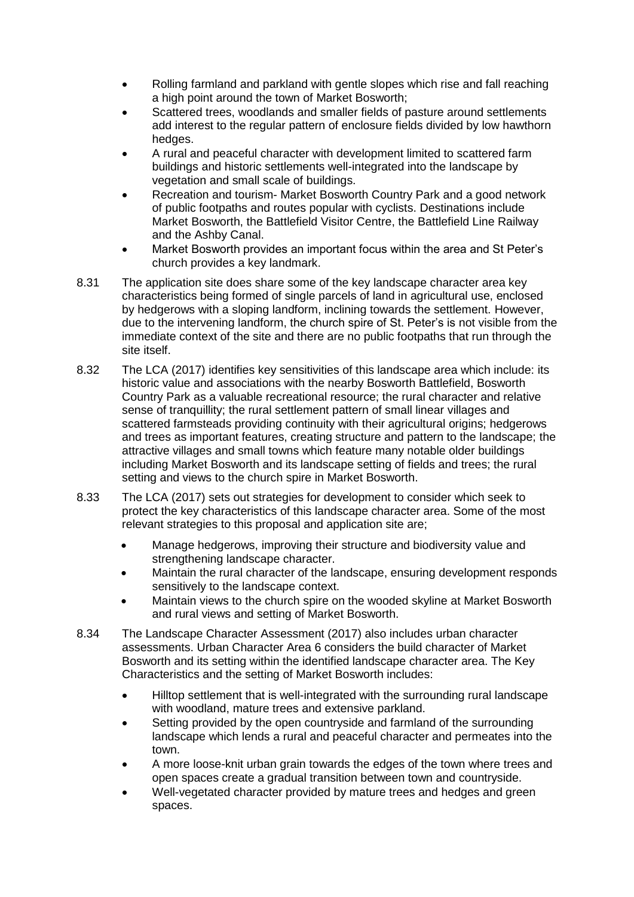- Rolling farmland and parkland with gentle slopes which rise and fall reaching a high point around the town of Market Bosworth;
- Scattered trees, woodlands and smaller fields of pasture around settlements add interest to the regular pattern of enclosure fields divided by low hawthorn hedges.
- A rural and peaceful character with development limited to scattered farm buildings and historic settlements well-integrated into the landscape by vegetation and small scale of buildings.
- Recreation and tourism- Market Bosworth Country Park and a good network of public footpaths and routes popular with cyclists. Destinations include Market Bosworth, the Battlefield Visitor Centre, the Battlefield Line Railway and the Ashby Canal.
- Market Bosworth provides an important focus within the area and St Peter's church provides a key landmark.
- 8.31 The application site does share some of the key landscape character area key characteristics being formed of single parcels of land in agricultural use, enclosed by hedgerows with a sloping landform, inclining towards the settlement. However, due to the intervening landform, the church spire of St. Peter's is not visible from the immediate context of the site and there are no public footpaths that run through the site itself.
- 8.32 The LCA (2017) identifies key sensitivities of this landscape area which include: its historic value and associations with the nearby Bosworth Battlefield, Bosworth Country Park as a valuable recreational resource; the rural character and relative sense of tranquillity; the rural settlement pattern of small linear villages and scattered farmsteads providing continuity with their agricultural origins; hedgerows and trees as important features, creating structure and pattern to the landscape; the attractive villages and small towns which feature many notable older buildings including Market Bosworth and its landscape setting of fields and trees; the rural setting and views to the church spire in Market Bosworth.
- 8.33 The LCA (2017) sets out strategies for development to consider which seek to protect the key characteristics of this landscape character area. Some of the most relevant strategies to this proposal and application site are;
	- Manage hedgerows, improving their structure and biodiversity value and strengthening landscape character.
	- Maintain the rural character of the landscape, ensuring development responds sensitively to the landscape context.
	- Maintain views to the church spire on the wooded skyline at Market Bosworth and rural views and setting of Market Bosworth.
- 8.34 The Landscape Character Assessment (2017) also includes urban character assessments. Urban Character Area 6 considers the build character of Market Bosworth and its setting within the identified landscape character area. The Key Characteristics and the setting of Market Bosworth includes:
	- Hilltop settlement that is well-integrated with the surrounding rural landscape with woodland, mature trees and extensive parkland.
	- Setting provided by the open countryside and farmland of the surrounding landscape which lends a rural and peaceful character and permeates into the town.
	- A more loose-knit urban grain towards the edges of the town where trees and open spaces create a gradual transition between town and countryside.
	- Well-vegetated character provided by mature trees and hedges and green spaces.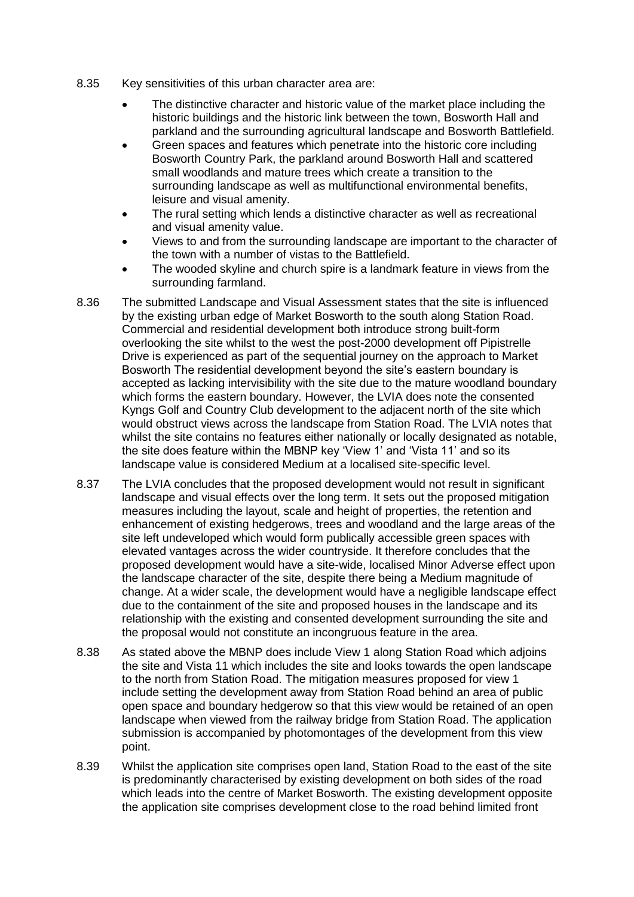- 8.35 Key sensitivities of this urban character area are:
	- The distinctive character and historic value of the market place including the historic buildings and the historic link between the town, Bosworth Hall and parkland and the surrounding agricultural landscape and Bosworth Battlefield.
	- Green spaces and features which penetrate into the historic core including Bosworth Country Park, the parkland around Bosworth Hall and scattered small woodlands and mature trees which create a transition to the surrounding landscape as well as multifunctional environmental benefits, leisure and visual amenity.
	- The rural setting which lends a distinctive character as well as recreational and visual amenity value.
	- Views to and from the surrounding landscape are important to the character of the town with a number of vistas to the Battlefield.
	- The wooded skyline and church spire is a landmark feature in views from the surrounding farmland.
- 8.36 The submitted Landscape and Visual Assessment states that the site is influenced by the existing urban edge of Market Bosworth to the south along Station Road. Commercial and residential development both introduce strong built-form overlooking the site whilst to the west the post-2000 development off Pipistrelle Drive is experienced as part of the sequential journey on the approach to Market Bosworth The residential development beyond the site's eastern boundary is accepted as lacking intervisibility with the site due to the mature woodland boundary which forms the eastern boundary. However, the LVIA does note the consented Kyngs Golf and Country Club development to the adjacent north of the site which would obstruct views across the landscape from Station Road. The LVIA notes that whilst the site contains no features either nationally or locally designated as notable, the site does feature within the MBNP key 'View 1' and 'Vista 11' and so its landscape value is considered Medium at a localised site-specific level.
- 8.37 The LVIA concludes that the proposed development would not result in significant landscape and visual effects over the long term. It sets out the proposed mitigation measures including the layout, scale and height of properties, the retention and enhancement of existing hedgerows, trees and woodland and the large areas of the site left undeveloped which would form publically accessible green spaces with elevated vantages across the wider countryside. It therefore concludes that the proposed development would have a site-wide, localised Minor Adverse effect upon the landscape character of the site, despite there being a Medium magnitude of change. At a wider scale, the development would have a negligible landscape effect due to the containment of the site and proposed houses in the landscape and its relationship with the existing and consented development surrounding the site and the proposal would not constitute an incongruous feature in the area.
- 8.38 As stated above the MBNP does include View 1 along Station Road which adjoins the site and Vista 11 which includes the site and looks towards the open landscape to the north from Station Road. The mitigation measures proposed for view 1 include setting the development away from Station Road behind an area of public open space and boundary hedgerow so that this view would be retained of an open landscape when viewed from the railway bridge from Station Road. The application submission is accompanied by photomontages of the development from this view point.
- 8.39 Whilst the application site comprises open land, Station Road to the east of the site is predominantly characterised by existing development on both sides of the road which leads into the centre of Market Bosworth. The existing development opposite the application site comprises development close to the road behind limited front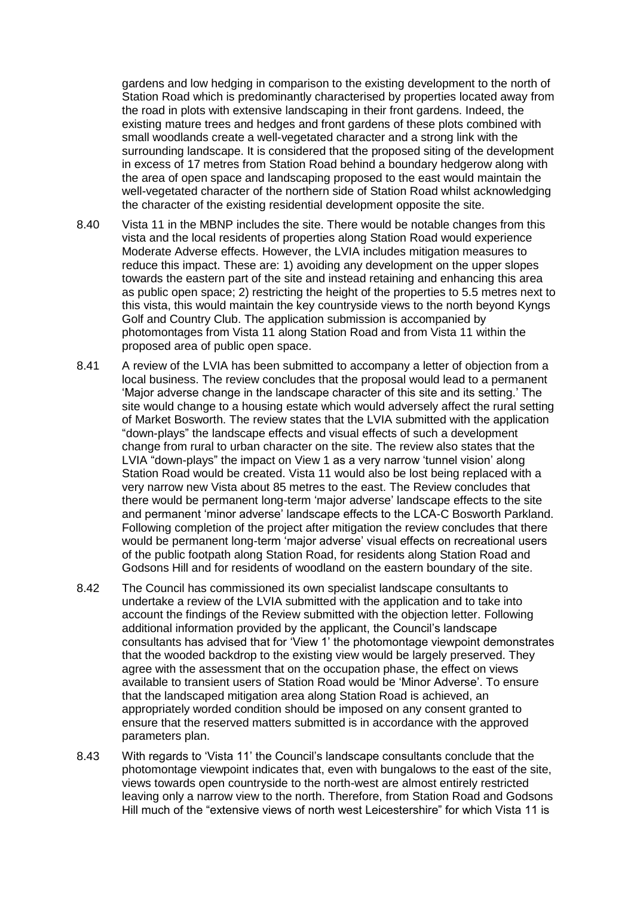gardens and low hedging in comparison to the existing development to the north of Station Road which is predominantly characterised by properties located away from the road in plots with extensive landscaping in their front gardens. Indeed, the existing mature trees and hedges and front gardens of these plots combined with small woodlands create a well-vegetated character and a strong link with the surrounding landscape. It is considered that the proposed siting of the development in excess of 17 metres from Station Road behind a boundary hedgerow along with the area of open space and landscaping proposed to the east would maintain the well-vegetated character of the northern side of Station Road whilst acknowledging the character of the existing residential development opposite the site.

- 8.40 Vista 11 in the MBNP includes the site. There would be notable changes from this vista and the local residents of properties along Station Road would experience Moderate Adverse effects. However, the LVIA includes mitigation measures to reduce this impact. These are: 1) avoiding any development on the upper slopes towards the eastern part of the site and instead retaining and enhancing this area as public open space; 2) restricting the height of the properties to 5.5 metres next to this vista, this would maintain the key countryside views to the north beyond Kyngs Golf and Country Club. The application submission is accompanied by photomontages from Vista 11 along Station Road and from Vista 11 within the proposed area of public open space.
- 8.41 A review of the LVIA has been submitted to accompany a letter of objection from a local business. The review concludes that the proposal would lead to a permanent 'Major adverse change in the landscape character of this site and its setting.' The site would change to a housing estate which would adversely affect the rural setting of Market Bosworth. The review states that the LVIA submitted with the application "down-plays" the landscape effects and visual effects of such a development change from rural to urban character on the site. The review also states that the LVIA "down-plays" the impact on View 1 as a very narrow 'tunnel vision' along Station Road would be created. Vista 11 would also be lost being replaced with a very narrow new Vista about 85 metres to the east. The Review concludes that there would be permanent long-term 'major adverse' landscape effects to the site and permanent 'minor adverse' landscape effects to the LCA-C Bosworth Parkland. Following completion of the project after mitigation the review concludes that there would be permanent long-term 'major adverse' visual effects on recreational users of the public footpath along Station Road, for residents along Station Road and Godsons Hill and for residents of woodland on the eastern boundary of the site.
- 8.42 The Council has commissioned its own specialist landscape consultants to undertake a review of the LVIA submitted with the application and to take into account the findings of the Review submitted with the objection letter. Following additional information provided by the applicant, the Council's landscape consultants has advised that for 'View 1' the photomontage viewpoint demonstrates that the wooded backdrop to the existing view would be largely preserved. They agree with the assessment that on the occupation phase, the effect on views available to transient users of Station Road would be 'Minor Adverse'. To ensure that the landscaped mitigation area along Station Road is achieved, an appropriately worded condition should be imposed on any consent granted to ensure that the reserved matters submitted is in accordance with the approved parameters plan.
- 8.43 With regards to 'Vista 11' the Council's landscape consultants conclude that the photomontage viewpoint indicates that, even with bungalows to the east of the site, views towards open countryside to the north-west are almost entirely restricted leaving only a narrow view to the north. Therefore, from Station Road and Godsons Hill much of the "extensive views of north west Leicestershire" for which Vista 11 is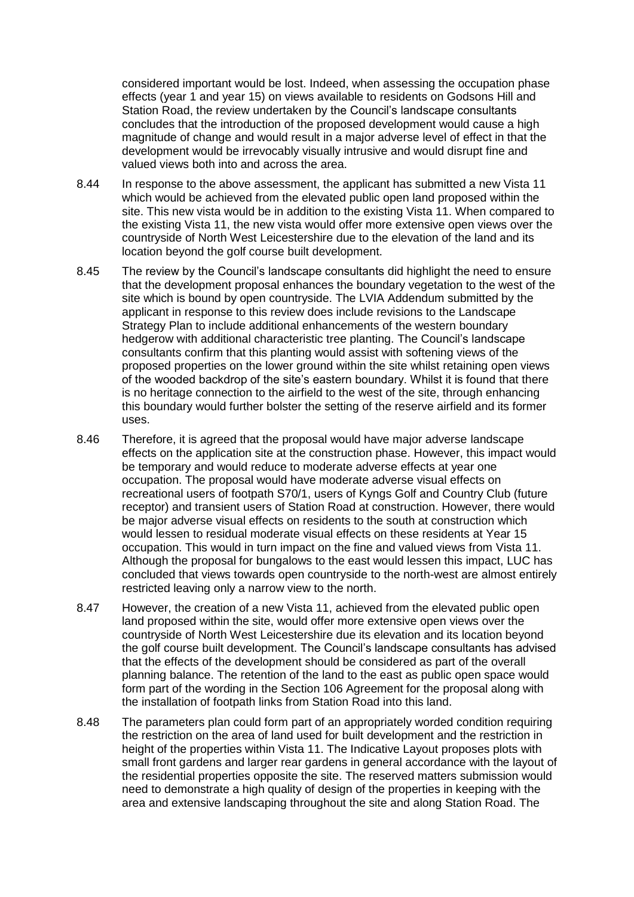considered important would be lost. Indeed, when assessing the occupation phase effects (year 1 and year 15) on views available to residents on Godsons Hill and Station Road, the review undertaken by the Council's landscape consultants concludes that the introduction of the proposed development would cause a high magnitude of change and would result in a major adverse level of effect in that the development would be irrevocably visually intrusive and would disrupt fine and valued views both into and across the area.

- 8.44 In response to the above assessment, the applicant has submitted a new Vista 11 which would be achieved from the elevated public open land proposed within the site. This new vista would be in addition to the existing Vista 11. When compared to the existing Vista 11, the new vista would offer more extensive open views over the countryside of North West Leicestershire due to the elevation of the land and its location beyond the golf course built development.
- 8.45 The review by the Council's landscape consultants did highlight the need to ensure that the development proposal enhances the boundary vegetation to the west of the site which is bound by open countryside. The LVIA Addendum submitted by the applicant in response to this review does include revisions to the Landscape Strategy Plan to include additional enhancements of the western boundary hedgerow with additional characteristic tree planting. The Council's landscape consultants confirm that this planting would assist with softening views of the proposed properties on the lower ground within the site whilst retaining open views of the wooded backdrop of the site's eastern boundary. Whilst it is found that there is no heritage connection to the airfield to the west of the site, through enhancing this boundary would further bolster the setting of the reserve airfield and its former uses.
- 8.46 Therefore, it is agreed that the proposal would have major adverse landscape effects on the application site at the construction phase. However, this impact would be temporary and would reduce to moderate adverse effects at year one occupation. The proposal would have moderate adverse visual effects on recreational users of footpath S70/1, users of Kyngs Golf and Country Club (future receptor) and transient users of Station Road at construction. However, there would be major adverse visual effects on residents to the south at construction which would lessen to residual moderate visual effects on these residents at Year 15 occupation. This would in turn impact on the fine and valued views from Vista 11. Although the proposal for bungalows to the east would lessen this impact, LUC has concluded that views towards open countryside to the north-west are almost entirely restricted leaving only a narrow view to the north.
- 8.47 However, the creation of a new Vista 11, achieved from the elevated public open land proposed within the site, would offer more extensive open views over the countryside of North West Leicestershire due its elevation and its location beyond the golf course built development. The Council's landscape consultants has advised that the effects of the development should be considered as part of the overall planning balance. The retention of the land to the east as public open space would form part of the wording in the Section 106 Agreement for the proposal along with the installation of footpath links from Station Road into this land.
- 8.48 The parameters plan could form part of an appropriately worded condition requiring the restriction on the area of land used for built development and the restriction in height of the properties within Vista 11. The Indicative Layout proposes plots with small front gardens and larger rear gardens in general accordance with the layout of the residential properties opposite the site. The reserved matters submission would need to demonstrate a high quality of design of the properties in keeping with the area and extensive landscaping throughout the site and along Station Road. The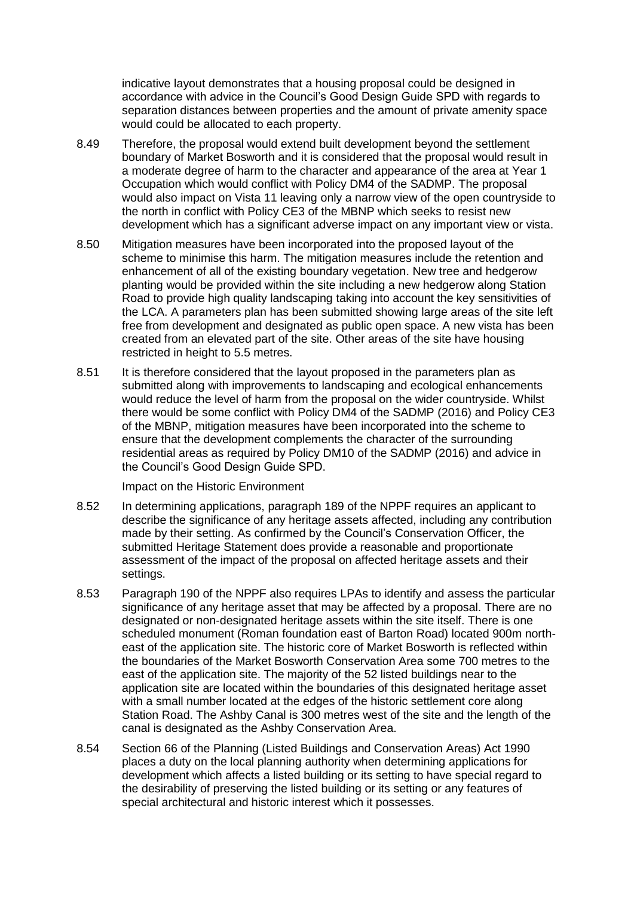indicative layout demonstrates that a housing proposal could be designed in accordance with advice in the Council's Good Design Guide SPD with regards to separation distances between properties and the amount of private amenity space would could be allocated to each property.

- 8.49 Therefore, the proposal would extend built development beyond the settlement boundary of Market Bosworth and it is considered that the proposal would result in a moderate degree of harm to the character and appearance of the area at Year 1 Occupation which would conflict with Policy DM4 of the SADMP. The proposal would also impact on Vista 11 leaving only a narrow view of the open countryside to the north in conflict with Policy CE3 of the MBNP which seeks to resist new development which has a significant adverse impact on any important view or vista.
- 8.50 Mitigation measures have been incorporated into the proposed layout of the scheme to minimise this harm. The mitigation measures include the retention and enhancement of all of the existing boundary vegetation. New tree and hedgerow planting would be provided within the site including a new hedgerow along Station Road to provide high quality landscaping taking into account the key sensitivities of the LCA. A parameters plan has been submitted showing large areas of the site left free from development and designated as public open space. A new vista has been created from an elevated part of the site. Other areas of the site have housing restricted in height to 5.5 metres.
- 8.51 It is therefore considered that the layout proposed in the parameters plan as submitted along with improvements to landscaping and ecological enhancements would reduce the level of harm from the proposal on the wider countryside. Whilst there would be some conflict with Policy DM4 of the SADMP (2016) and Policy CE3 of the MBNP, mitigation measures have been incorporated into the scheme to ensure that the development complements the character of the surrounding residential areas as required by Policy DM10 of the SADMP (2016) and advice in the Council's Good Design Guide SPD.

Impact on the Historic Environment

- 8.52 In determining applications, paragraph 189 of the NPPF requires an applicant to describe the significance of any heritage assets affected, including any contribution made by their setting. As confirmed by the Council's Conservation Officer, the submitted Heritage Statement does provide a reasonable and proportionate assessment of the impact of the proposal on affected heritage assets and their settings.
- 8.53 Paragraph 190 of the NPPF also requires LPAs to identify and assess the particular significance of any heritage asset that may be affected by a proposal. There are no designated or non-designated heritage assets within the site itself. There is one scheduled monument (Roman foundation east of Barton Road) located 900m northeast of the application site. The historic core of Market Bosworth is reflected within the boundaries of the Market Bosworth Conservation Area some 700 metres to the east of the application site. The majority of the 52 listed buildings near to the application site are located within the boundaries of this designated heritage asset with a small number located at the edges of the historic settlement core along Station Road. The Ashby Canal is 300 metres west of the site and the length of the canal is designated as the Ashby Conservation Area.
- 8.54 Section 66 of the Planning (Listed Buildings and Conservation Areas) Act 1990 places a duty on the local planning authority when determining applications for development which affects a listed building or its setting to have special regard to the desirability of preserving the listed building or its setting or any features of special architectural and historic interest which it possesses.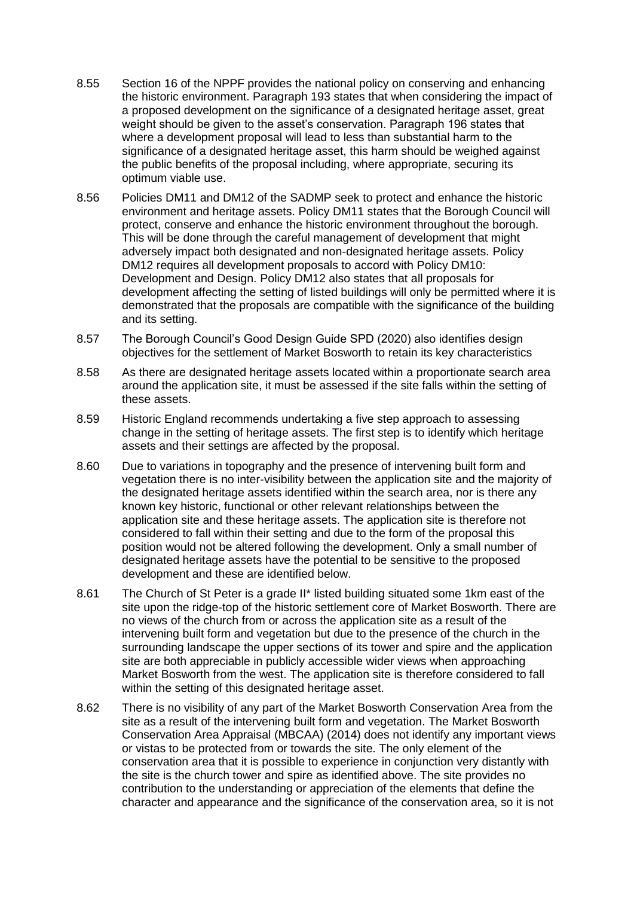- 8.55 Section 16 of the NPPF provides the national policy on conserving and enhancing the historic environment. Paragraph 193 states that when considering the impact of a proposed development on the significance of a designated heritage asset, great weight should be given to the asset's conservation. Paragraph 196 states that where a development proposal will lead to less than substantial harm to the significance of a designated heritage asset, this harm should be weighed against the public benefits of the proposal including, where appropriate, securing its optimum viable use.
- 8.56 Policies DM11 and DM12 of the SADMP seek to protect and enhance the historic environment and heritage assets. Policy DM11 states that the Borough Council will protect, conserve and enhance the historic environment throughout the borough. This will be done through the careful management of development that might adversely impact both designated and non-designated heritage assets. Policy DM12 requires all development proposals to accord with Policy DM10: Development and Design. Policy DM12 also states that all proposals for development affecting the setting of listed buildings will only be permitted where it is demonstrated that the proposals are compatible with the significance of the building and its setting.
- 8.57 The Borough Council's Good Design Guide SPD (2020) also identifies design objectives for the settlement of Market Bosworth to retain its key characteristics
- 8.58 As there are designated heritage assets located within a proportionate search area around the application site, it must be assessed if the site falls within the setting of these assets.
- 8.59 Historic England recommends undertaking a five step approach to assessing change in the setting of heritage assets. The first step is to identify which heritage assets and their settings are affected by the proposal.
- 8.60 Due to variations in topography and the presence of intervening built form and vegetation there is no inter-visibility between the application site and the majority of the designated heritage assets identified within the search area, nor is there any known key historic, functional or other relevant relationships between the application site and these heritage assets. The application site is therefore not considered to fall within their setting and due to the form of the proposal this position would not be altered following the development. Only a small number of designated heritage assets have the potential to be sensitive to the proposed development and these are identified below.
- 8.61 The Church of St Peter is a grade II\* listed building situated some 1km east of the site upon the ridge-top of the historic settlement core of Market Bosworth. There are no views of the church from or across the application site as a result of the intervening built form and vegetation but due to the presence of the church in the surrounding landscape the upper sections of its tower and spire and the application site are both appreciable in publicly accessible wider views when approaching Market Bosworth from the west. The application site is therefore considered to fall within the setting of this designated heritage asset.
- 8.62 There is no visibility of any part of the Market Bosworth Conservation Area from the site as a result of the intervening built form and vegetation. The Market Bosworth Conservation Area Appraisal (MBCAA) (2014) does not identify any important views or vistas to be protected from or towards the site. The only element of the conservation area that it is possible to experience in conjunction very distantly with the site is the church tower and spire as identified above. The site provides no contribution to the understanding or appreciation of the elements that define the character and appearance and the significance of the conservation area, so it is not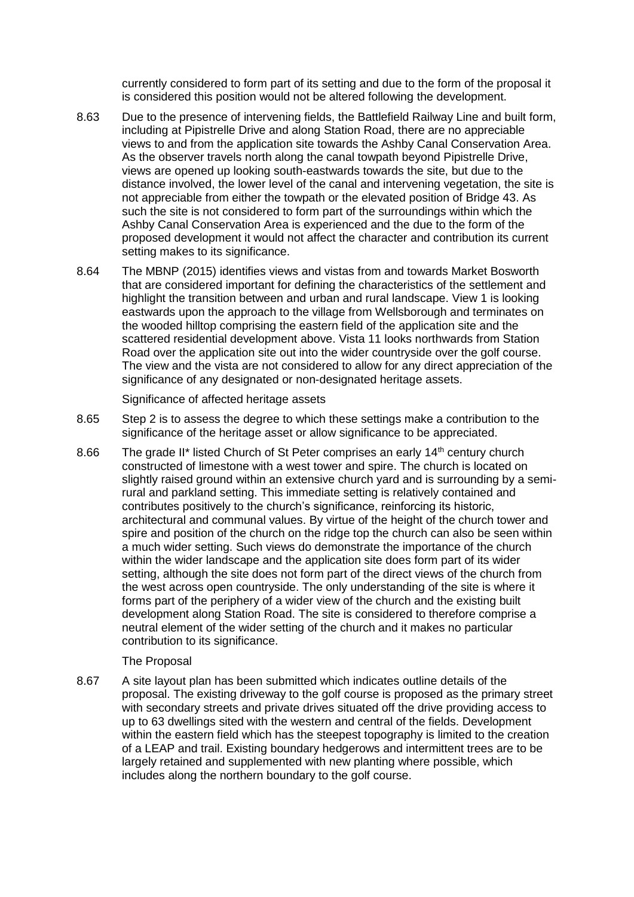currently considered to form part of its setting and due to the form of the proposal it is considered this position would not be altered following the development.

- 8.63 Due to the presence of intervening fields, the Battlefield Railway Line and built form, including at Pipistrelle Drive and along Station Road, there are no appreciable views to and from the application site towards the Ashby Canal Conservation Area. As the observer travels north along the canal towpath beyond Pipistrelle Drive, views are opened up looking south-eastwards towards the site, but due to the distance involved, the lower level of the canal and intervening vegetation, the site is not appreciable from either the towpath or the elevated position of Bridge 43. As such the site is not considered to form part of the surroundings within which the Ashby Canal Conservation Area is experienced and the due to the form of the proposed development it would not affect the character and contribution its current setting makes to its significance.
- 8.64 The MBNP (2015) identifies views and vistas from and towards Market Bosworth that are considered important for defining the characteristics of the settlement and highlight the transition between and urban and rural landscape. View 1 is looking eastwards upon the approach to the village from Wellsborough and terminates on the wooded hilltop comprising the eastern field of the application site and the scattered residential development above. Vista 11 looks northwards from Station Road over the application site out into the wider countryside over the golf course. The view and the vista are not considered to allow for any direct appreciation of the significance of any designated or non-designated heritage assets.

Significance of affected heritage assets

- 8.65 Step 2 is to assess the degree to which these settings make a contribution to the significance of the heritage asset or allow significance to be appreciated.
- 8.66 The grade II\* listed Church of St Peter comprises an early 14<sup>th</sup> century church constructed of limestone with a west tower and spire. The church is located on slightly raised ground within an extensive church yard and is surrounding by a semirural and parkland setting. This immediate setting is relatively contained and contributes positively to the church's significance, reinforcing its historic, architectural and communal values. By virtue of the height of the church tower and spire and position of the church on the ridge top the church can also be seen within a much wider setting. Such views do demonstrate the importance of the church within the wider landscape and the application site does form part of its wider setting, although the site does not form part of the direct views of the church from the west across open countryside. The only understanding of the site is where it forms part of the periphery of a wider view of the church and the existing built development along Station Road. The site is considered to therefore comprise a neutral element of the wider setting of the church and it makes no particular contribution to its significance.

# The Proposal

8.67 A site layout plan has been submitted which indicates outline details of the proposal. The existing driveway to the golf course is proposed as the primary street with secondary streets and private drives situated off the drive providing access to up to 63 dwellings sited with the western and central of the fields. Development within the eastern field which has the steepest topography is limited to the creation of a LEAP and trail. Existing boundary hedgerows and intermittent trees are to be largely retained and supplemented with new planting where possible, which includes along the northern boundary to the golf course.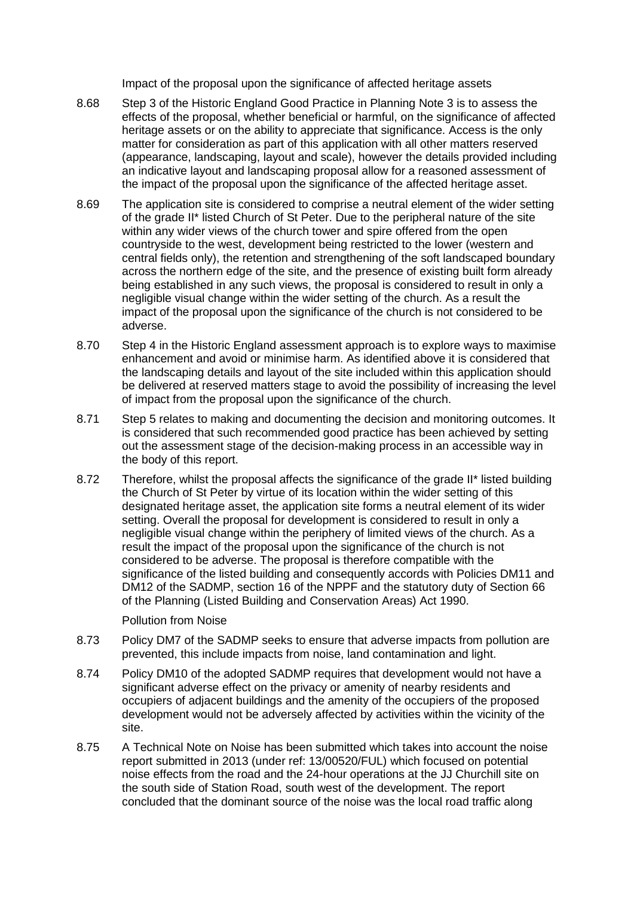Impact of the proposal upon the significance of affected heritage assets

- 8.68 Step 3 of the Historic England Good Practice in Planning Note 3 is to assess the effects of the proposal, whether beneficial or harmful, on the significance of affected heritage assets or on the ability to appreciate that significance. Access is the only matter for consideration as part of this application with all other matters reserved (appearance, landscaping, layout and scale), however the details provided including an indicative layout and landscaping proposal allow for a reasoned assessment of the impact of the proposal upon the significance of the affected heritage asset.
- 8.69 The application site is considered to comprise a neutral element of the wider setting of the grade II\* listed Church of St Peter. Due to the peripheral nature of the site within any wider views of the church tower and spire offered from the open countryside to the west, development being restricted to the lower (western and central fields only), the retention and strengthening of the soft landscaped boundary across the northern edge of the site, and the presence of existing built form already being established in any such views, the proposal is considered to result in only a negligible visual change within the wider setting of the church. As a result the impact of the proposal upon the significance of the church is not considered to be adverse.
- 8.70 Step 4 in the Historic England assessment approach is to explore ways to maximise enhancement and avoid or minimise harm. As identified above it is considered that the landscaping details and layout of the site included within this application should be delivered at reserved matters stage to avoid the possibility of increasing the level of impact from the proposal upon the significance of the church.
- 8.71 Step 5 relates to making and documenting the decision and monitoring outcomes. It is considered that such recommended good practice has been achieved by setting out the assessment stage of the decision-making process in an accessible way in the body of this report.
- 8.72 Therefore, whilst the proposal affects the significance of the grade II\* listed building the Church of St Peter by virtue of its location within the wider setting of this designated heritage asset, the application site forms a neutral element of its wider setting. Overall the proposal for development is considered to result in only a negligible visual change within the periphery of limited views of the church. As a result the impact of the proposal upon the significance of the church is not considered to be adverse. The proposal is therefore compatible with the significance of the listed building and consequently accords with Policies DM11 and DM12 of the SADMP, section 16 of the NPPF and the statutory duty of Section 66 of the Planning (Listed Building and Conservation Areas) Act 1990.

# Pollution from Noise

- 8.73 Policy DM7 of the SADMP seeks to ensure that adverse impacts from pollution are prevented, this include impacts from noise, land contamination and light.
- 8.74 Policy DM10 of the adopted SADMP requires that development would not have a significant adverse effect on the privacy or amenity of nearby residents and occupiers of adjacent buildings and the amenity of the occupiers of the proposed development would not be adversely affected by activities within the vicinity of the site.
- 8.75 A Technical Note on Noise has been submitted which takes into account the noise report submitted in 2013 (under ref: 13/00520/FUL) which focused on potential noise effects from the road and the 24-hour operations at the JJ Churchill site on the south side of Station Road, south west of the development. The report concluded that the dominant source of the noise was the local road traffic along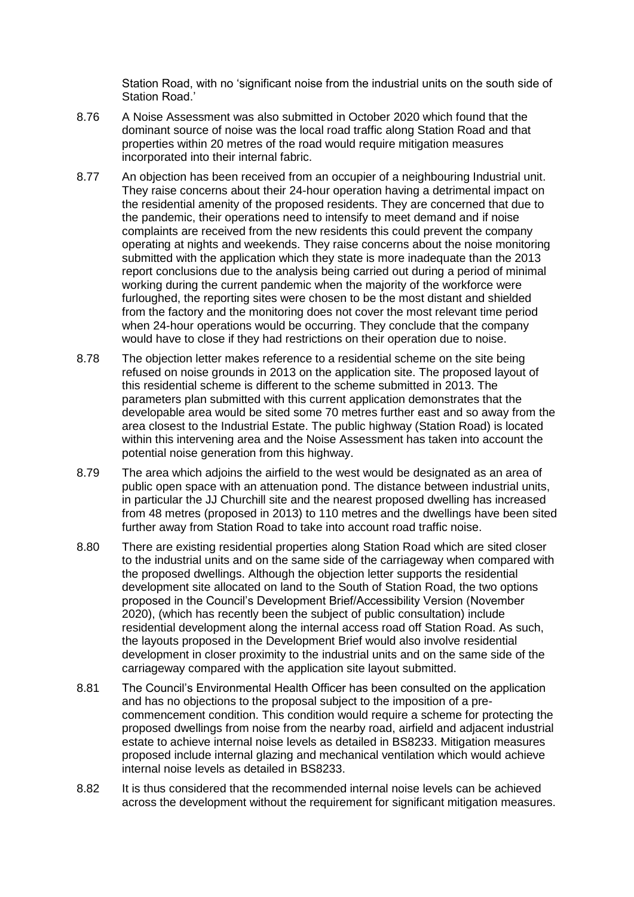Station Road, with no 'significant noise from the industrial units on the south side of Station Road.'

- 8.76 A Noise Assessment was also submitted in October 2020 which found that the dominant source of noise was the local road traffic along Station Road and that properties within 20 metres of the road would require mitigation measures incorporated into their internal fabric.
- 8.77 An objection has been received from an occupier of a neighbouring Industrial unit. They raise concerns about their 24-hour operation having a detrimental impact on the residential amenity of the proposed residents. They are concerned that due to the pandemic, their operations need to intensify to meet demand and if noise complaints are received from the new residents this could prevent the company operating at nights and weekends. They raise concerns about the noise monitoring submitted with the application which they state is more inadequate than the 2013 report conclusions due to the analysis being carried out during a period of minimal working during the current pandemic when the majority of the workforce were furloughed, the reporting sites were chosen to be the most distant and shielded from the factory and the monitoring does not cover the most relevant time period when 24-hour operations would be occurring. They conclude that the company would have to close if they had restrictions on their operation due to noise.
- 8.78 The objection letter makes reference to a residential scheme on the site being refused on noise grounds in 2013 on the application site. The proposed layout of this residential scheme is different to the scheme submitted in 2013. The parameters plan submitted with this current application demonstrates that the developable area would be sited some 70 metres further east and so away from the area closest to the Industrial Estate. The public highway (Station Road) is located within this intervening area and the Noise Assessment has taken into account the potential noise generation from this highway.
- 8.79 The area which adjoins the airfield to the west would be designated as an area of public open space with an attenuation pond. The distance between industrial units, in particular the JJ Churchill site and the nearest proposed dwelling has increased from 48 metres (proposed in 2013) to 110 metres and the dwellings have been sited further away from Station Road to take into account road traffic noise.
- 8.80 There are existing residential properties along Station Road which are sited closer to the industrial units and on the same side of the carriageway when compared with the proposed dwellings. Although the objection letter supports the residential development site allocated on land to the South of Station Road, the two options proposed in the Council's Development Brief/Accessibility Version (November 2020), (which has recently been the subject of public consultation) include residential development along the internal access road off Station Road. As such, the layouts proposed in the Development Brief would also involve residential development in closer proximity to the industrial units and on the same side of the carriageway compared with the application site layout submitted.
- 8.81 The Council's Environmental Health Officer has been consulted on the application and has no objections to the proposal subject to the imposition of a precommencement condition. This condition would require a scheme for protecting the proposed dwellings from noise from the nearby road, airfield and adjacent industrial estate to achieve internal noise levels as detailed in BS8233. Mitigation measures proposed include internal glazing and mechanical ventilation which would achieve internal noise levels as detailed in BS8233.
- 8.82 It is thus considered that the recommended internal noise levels can be achieved across the development without the requirement for significant mitigation measures.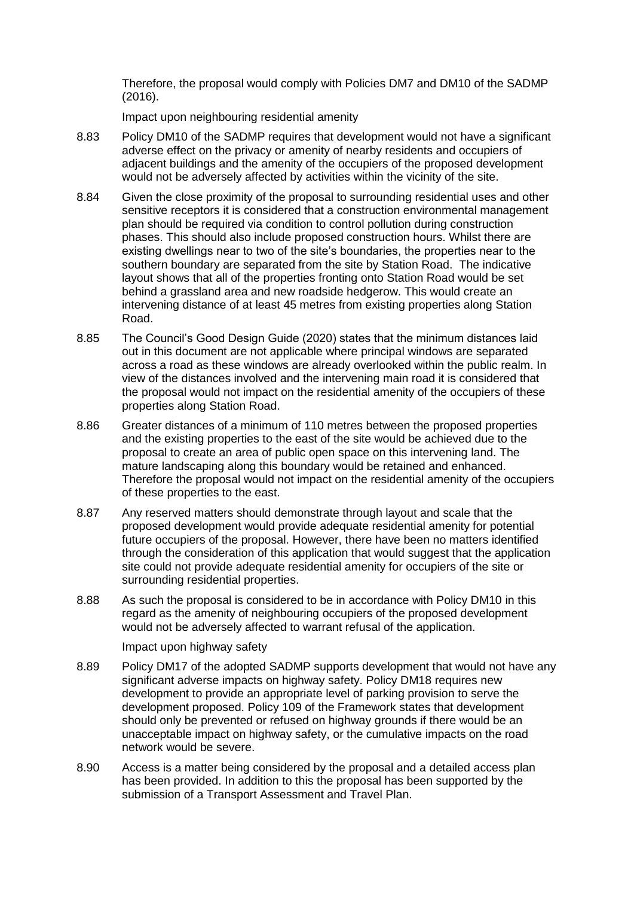Therefore, the proposal would comply with Policies DM7 and DM10 of the SADMP (2016).

Impact upon neighbouring residential amenity

- 8.83 Policy DM10 of the SADMP requires that development would not have a significant adverse effect on the privacy or amenity of nearby residents and occupiers of adjacent buildings and the amenity of the occupiers of the proposed development would not be adversely affected by activities within the vicinity of the site.
- 8.84 Given the close proximity of the proposal to surrounding residential uses and other sensitive receptors it is considered that a construction environmental management plan should be required via condition to control pollution during construction phases. This should also include proposed construction hours. Whilst there are existing dwellings near to two of the site's boundaries, the properties near to the southern boundary are separated from the site by Station Road. The indicative layout shows that all of the properties fronting onto Station Road would be set behind a grassland area and new roadside hedgerow. This would create an intervening distance of at least 45 metres from existing properties along Station Road.
- 8.85 The Council's Good Design Guide (2020) states that the minimum distances laid out in this document are not applicable where principal windows are separated across a road as these windows are already overlooked within the public realm. In view of the distances involved and the intervening main road it is considered that the proposal would not impact on the residential amenity of the occupiers of these properties along Station Road.
- 8.86 Greater distances of a minimum of 110 metres between the proposed properties and the existing properties to the east of the site would be achieved due to the proposal to create an area of public open space on this intervening land. The mature landscaping along this boundary would be retained and enhanced. Therefore the proposal would not impact on the residential amenity of the occupiers of these properties to the east.
- 8.87 Any reserved matters should demonstrate through layout and scale that the proposed development would provide adequate residential amenity for potential future occupiers of the proposal. However, there have been no matters identified through the consideration of this application that would suggest that the application site could not provide adequate residential amenity for occupiers of the site or surrounding residential properties.
- 8.88 As such the proposal is considered to be in accordance with Policy DM10 in this regard as the amenity of neighbouring occupiers of the proposed development would not be adversely affected to warrant refusal of the application.

Impact upon highway safety

- 8.89 Policy DM17 of the adopted SADMP supports development that would not have any significant adverse impacts on highway safety. Policy DM18 requires new development to provide an appropriate level of parking provision to serve the development proposed. Policy 109 of the Framework states that development should only be prevented or refused on highway grounds if there would be an unacceptable impact on highway safety, or the cumulative impacts on the road network would be severe.
- 8.90 Access is a matter being considered by the proposal and a detailed access plan has been provided. In addition to this the proposal has been supported by the submission of a Transport Assessment and Travel Plan.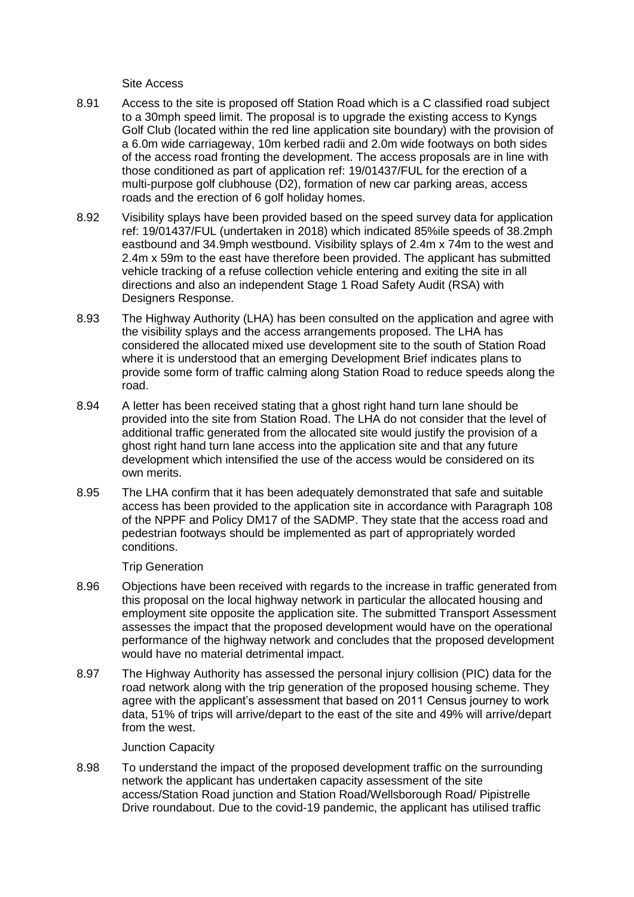Site Access

- 8.91 Access to the site is proposed off Station Road which is a C classified road subject to a 30mph speed limit. The proposal is to upgrade the existing access to Kyngs Golf Club (located within the red line application site boundary) with the provision of a 6.0m wide carriageway, 10m kerbed radii and 2.0m wide footways on both sides of the access road fronting the development. The access proposals are in line with those conditioned as part of application ref: 19/01437/FUL for the erection of a multi-purpose golf clubhouse (D2), formation of new car parking areas, access roads and the erection of 6 golf holiday homes.
- 8.92 Visibility splays have been provided based on the speed survey data for application ref: 19/01437/FUL (undertaken in 2018) which indicated 85%ile speeds of 38.2mph eastbound and 34.9mph westbound. Visibility splays of 2.4m x 74m to the west and 2.4m x 59m to the east have therefore been provided. The applicant has submitted vehicle tracking of a refuse collection vehicle entering and exiting the site in all directions and also an independent Stage 1 Road Safety Audit (RSA) with Designers Response.
- 8.93 The Highway Authority (LHA) has been consulted on the application and agree with the visibility splays and the access arrangements proposed. The LHA has considered the allocated mixed use development site to the south of Station Road where it is understood that an emerging Development Brief indicates plans to provide some form of traffic calming along Station Road to reduce speeds along the road.
- 8.94 A letter has been received stating that a ghost right hand turn lane should be provided into the site from Station Road. The LHA do not consider that the level of additional traffic generated from the allocated site would justify the provision of a ghost right hand turn lane access into the application site and that any future development which intensified the use of the access would be considered on its own merits.
- 8.95 The LHA confirm that it has been adequately demonstrated that safe and suitable access has been provided to the application site in accordance with Paragraph 108 of the NPPF and Policy DM17 of the SADMP. They state that the access road and pedestrian footways should be implemented as part of appropriately worded conditions.

Trip Generation

- 8.96 Objections have been received with regards to the increase in traffic generated from this proposal on the local highway network in particular the allocated housing and employment site opposite the application site. The submitted Transport Assessment assesses the impact that the proposed development would have on the operational performance of the highway network and concludes that the proposed development would have no material detrimental impact.
- 8.97 The Highway Authority has assessed the personal injury collision (PIC) data for the road network along with the trip generation of the proposed housing scheme. They agree with the applicant's assessment that based on 2011 Census journey to work data, 51% of trips will arrive/depart to the east of the site and 49% will arrive/depart from the west.

Junction Capacity

8.98 To understand the impact of the proposed development traffic on the surrounding network the applicant has undertaken capacity assessment of the site access/Station Road junction and Station Road/Wellsborough Road/ Pipistrelle Drive roundabout. Due to the covid-19 pandemic, the applicant has utilised traffic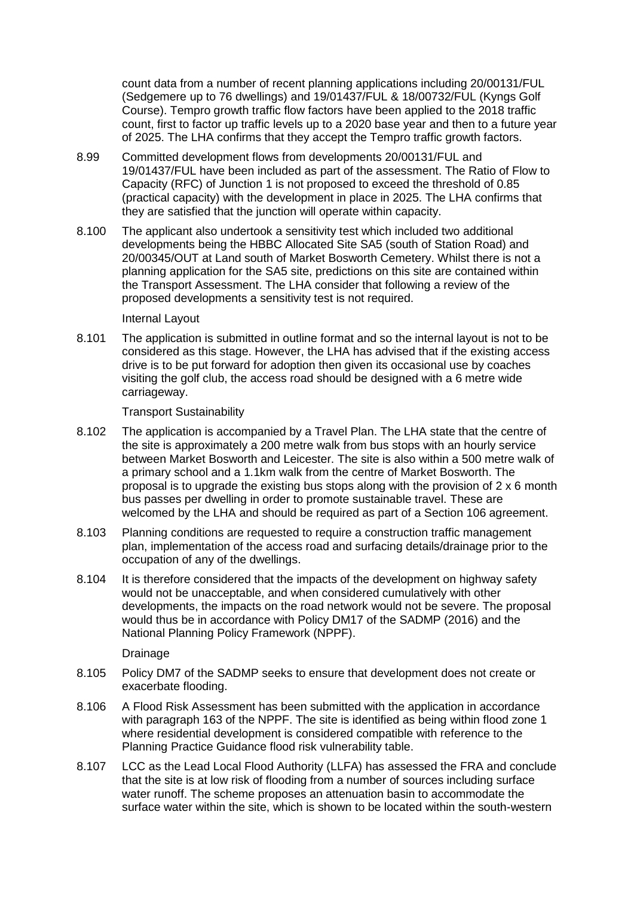count data from a number of recent planning applications including 20/00131/FUL (Sedgemere up to 76 dwellings) and 19/01437/FUL & 18/00732/FUL (Kyngs Golf Course). Tempro growth traffic flow factors have been applied to the 2018 traffic count, first to factor up traffic levels up to a 2020 base year and then to a future year of 2025. The LHA confirms that they accept the Tempro traffic growth factors.

- 8.99 Committed development flows from developments 20/00131/FUL and 19/01437/FUL have been included as part of the assessment. The Ratio of Flow to Capacity (RFC) of Junction 1 is not proposed to exceed the threshold of 0.85 (practical capacity) with the development in place in 2025. The LHA confirms that they are satisfied that the junction will operate within capacity.
- 8.100 The applicant also undertook a sensitivity test which included two additional developments being the HBBC Allocated Site SA5 (south of Station Road) and 20/00345/OUT at Land south of Market Bosworth Cemetery. Whilst there is not a planning application for the SA5 site, predictions on this site are contained within the Transport Assessment. The LHA consider that following a review of the proposed developments a sensitivity test is not required.

#### Internal Layout

8.101 The application is submitted in outline format and so the internal layout is not to be considered as this stage. However, the LHA has advised that if the existing access drive is to be put forward for adoption then given its occasional use by coaches visiting the golf club, the access road should be designed with a 6 metre wide carriageway.

Transport Sustainability

- 8.102 The application is accompanied by a Travel Plan. The LHA state that the centre of the site is approximately a 200 metre walk from bus stops with an hourly service between Market Bosworth and Leicester. The site is also within a 500 metre walk of a primary school and a 1.1km walk from the centre of Market Bosworth. The proposal is to upgrade the existing bus stops along with the provision of 2 x 6 month bus passes per dwelling in order to promote sustainable travel. These are welcomed by the LHA and should be required as part of a Section 106 agreement.
- 8.103 Planning conditions are requested to require a construction traffic management plan, implementation of the access road and surfacing details/drainage prior to the occupation of any of the dwellings.
- 8.104 It is therefore considered that the impacts of the development on highway safety would not be unacceptable, and when considered cumulatively with other developments, the impacts on the road network would not be severe. The proposal would thus be in accordance with Policy DM17 of the SADMP (2016) and the National Planning Policy Framework (NPPF).

Drainage

- 8.105 Policy DM7 of the SADMP seeks to ensure that development does not create or exacerbate flooding.
- 8.106 A Flood Risk Assessment has been submitted with the application in accordance with paragraph 163 of the NPPF. The site is identified as being within flood zone 1 where residential development is considered compatible with reference to the Planning Practice Guidance flood risk vulnerability table.
- 8.107 LCC as the Lead Local Flood Authority (LLFA) has assessed the FRA and conclude that the site is at low risk of flooding from a number of sources including surface water runoff. The scheme proposes an attenuation basin to accommodate the surface water within the site, which is shown to be located within the south-western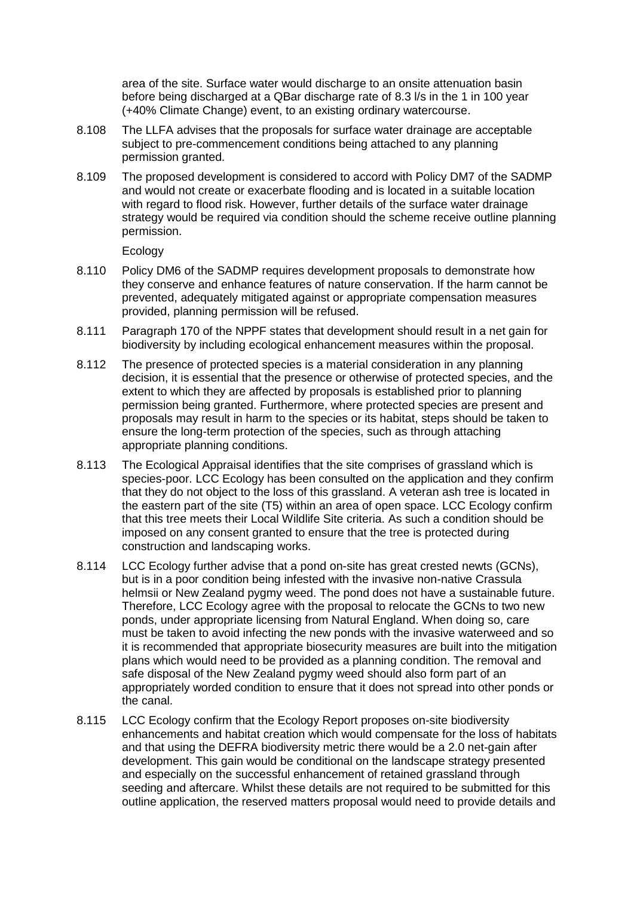area of the site. Surface water would discharge to an onsite attenuation basin before being discharged at a QBar discharge rate of 8.3 l/s in the 1 in 100 year (+40% Climate Change) event, to an existing ordinary watercourse.

- 8.108 The LLFA advises that the proposals for surface water drainage are acceptable subject to pre-commencement conditions being attached to any planning permission granted.
- 8.109 The proposed development is considered to accord with Policy DM7 of the SADMP and would not create or exacerbate flooding and is located in a suitable location with regard to flood risk. However, further details of the surface water drainage strategy would be required via condition should the scheme receive outline planning permission.

Ecology

- 8.110 Policy DM6 of the SADMP requires development proposals to demonstrate how they conserve and enhance features of nature conservation. If the harm cannot be prevented, adequately mitigated against or appropriate compensation measures provided, planning permission will be refused.
- 8.111 Paragraph 170 of the NPPF states that development should result in a net gain for biodiversity by including ecological enhancement measures within the proposal.
- 8.112 The presence of protected species is a material consideration in any planning decision, it is essential that the presence or otherwise of protected species, and the extent to which they are affected by proposals is established prior to planning permission being granted. Furthermore, where protected species are present and proposals may result in harm to the species or its habitat, steps should be taken to ensure the long-term protection of the species, such as through attaching appropriate planning conditions.
- 8.113 The Ecological Appraisal identifies that the site comprises of grassland which is species-poor. LCC Ecology has been consulted on the application and they confirm that they do not object to the loss of this grassland. A veteran ash tree is located in the eastern part of the site (T5) within an area of open space. LCC Ecology confirm that this tree meets their Local Wildlife Site criteria. As such a condition should be imposed on any consent granted to ensure that the tree is protected during construction and landscaping works.
- 8.114 LCC Ecology further advise that a pond on-site has great crested newts (GCNs), but is in a poor condition being infested with the invasive non-native Crassula helmsii or New Zealand pygmy weed. The pond does not have a sustainable future. Therefore, LCC Ecology agree with the proposal to relocate the GCNs to two new ponds, under appropriate licensing from Natural England. When doing so, care must be taken to avoid infecting the new ponds with the invasive waterweed and so it is recommended that appropriate biosecurity measures are built into the mitigation plans which would need to be provided as a planning condition. The removal and safe disposal of the New Zealand pygmy weed should also form part of an appropriately worded condition to ensure that it does not spread into other ponds or the canal.
- 8.115 LCC Ecology confirm that the Ecology Report proposes on-site biodiversity enhancements and habitat creation which would compensate for the loss of habitats and that using the DEFRA biodiversity metric there would be a 2.0 net-gain after development. This gain would be conditional on the landscape strategy presented and especially on the successful enhancement of retained grassland through seeding and aftercare. Whilst these details are not required to be submitted for this outline application, the reserved matters proposal would need to provide details and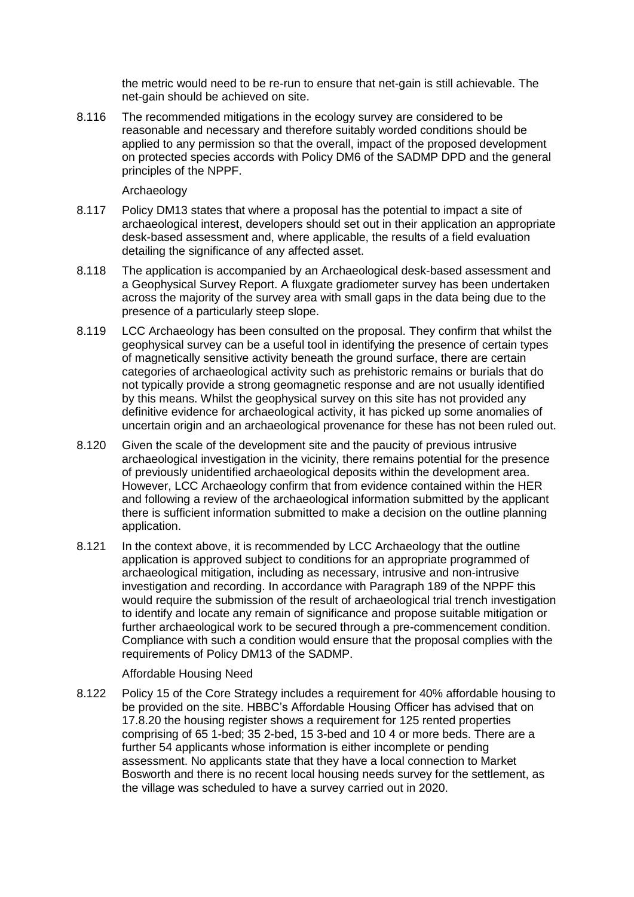the metric would need to be re-run to ensure that net-gain is still achievable. The net-gain should be achieved on site.

8.116 The recommended mitigations in the ecology survey are considered to be reasonable and necessary and therefore suitably worded conditions should be applied to any permission so that the overall, impact of the proposed development on protected species accords with Policy DM6 of the SADMP DPD and the general principles of the NPPF.

### Archaeology

- 8.117 Policy DM13 states that where a proposal has the potential to impact a site of archaeological interest, developers should set out in their application an appropriate desk-based assessment and, where applicable, the results of a field evaluation detailing the significance of any affected asset.
- 8.118 The application is accompanied by an Archaeological desk-based assessment and a Geophysical Survey Report. A fluxgate gradiometer survey has been undertaken across the majority of the survey area with small gaps in the data being due to the presence of a particularly steep slope.
- 8.119 LCC Archaeology has been consulted on the proposal. They confirm that whilst the geophysical survey can be a useful tool in identifying the presence of certain types of magnetically sensitive activity beneath the ground surface, there are certain categories of archaeological activity such as prehistoric remains or burials that do not typically provide a strong geomagnetic response and are not usually identified by this means. Whilst the geophysical survey on this site has not provided any definitive evidence for archaeological activity, it has picked up some anomalies of uncertain origin and an archaeological provenance for these has not been ruled out.
- 8.120 Given the scale of the development site and the paucity of previous intrusive archaeological investigation in the vicinity, there remains potential for the presence of previously unidentified archaeological deposits within the development area. However, LCC Archaeology confirm that from evidence contained within the HER and following a review of the archaeological information submitted by the applicant there is sufficient information submitted to make a decision on the outline planning application.
- 8.121 In the context above, it is recommended by LCC Archaeology that the outline application is approved subject to conditions for an appropriate programmed of archaeological mitigation, including as necessary, intrusive and non-intrusive investigation and recording. In accordance with Paragraph 189 of the NPPF this would require the submission of the result of archaeological trial trench investigation to identify and locate any remain of significance and propose suitable mitigation or further archaeological work to be secured through a pre-commencement condition. Compliance with such a condition would ensure that the proposal complies with the requirements of Policy DM13 of the SADMP.

#### Affordable Housing Need

8.122 Policy 15 of the Core Strategy includes a requirement for 40% affordable housing to be provided on the site. HBBC's Affordable Housing Officer has advised that on 17.8.20 the housing register shows a requirement for 125 rented properties comprising of 65 1-bed; 35 2-bed, 15 3-bed and 10 4 or more beds. There are a further 54 applicants whose information is either incomplete or pending assessment. No applicants state that they have a local connection to Market Bosworth and there is no recent local housing needs survey for the settlement, as the village was scheduled to have a survey carried out in 2020.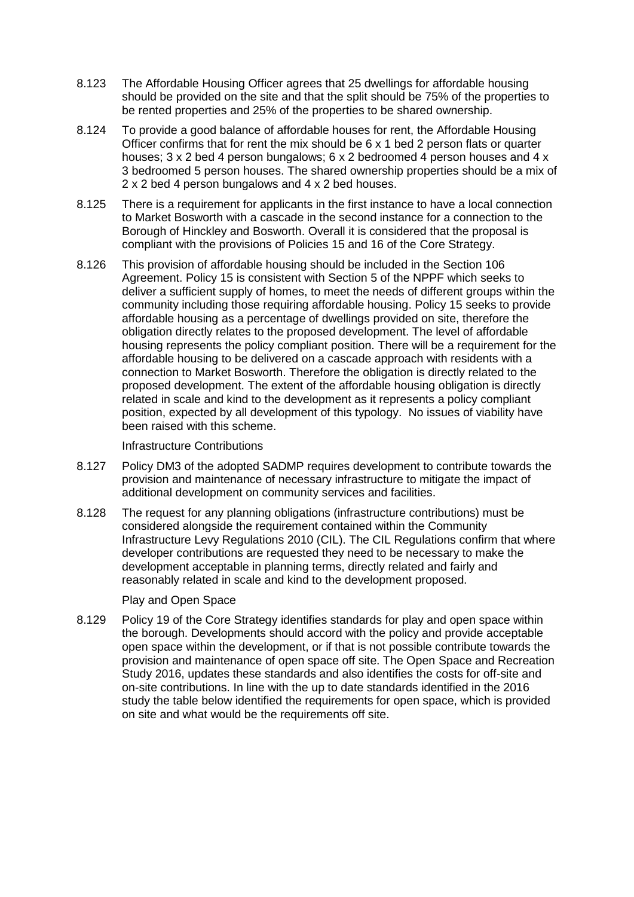- 8.123 The Affordable Housing Officer agrees that 25 dwellings for affordable housing should be provided on the site and that the split should be 75% of the properties to be rented properties and 25% of the properties to be shared ownership.
- 8.124 To provide a good balance of affordable houses for rent, the Affordable Housing Officer confirms that for rent the mix should be 6 x 1 bed 2 person flats or quarter houses; 3 x 2 bed 4 person bungalows; 6 x 2 bedroomed 4 person houses and 4 x 3 bedroomed 5 person houses. The shared ownership properties should be a mix of 2 x 2 bed 4 person bungalows and 4 x 2 bed houses.
- 8.125 There is a requirement for applicants in the first instance to have a local connection to Market Bosworth with a cascade in the second instance for a connection to the Borough of Hinckley and Bosworth. Overall it is considered that the proposal is compliant with the provisions of Policies 15 and 16 of the Core Strategy.
- 8.126 This provision of affordable housing should be included in the Section 106 Agreement. Policy 15 is consistent with Section 5 of the NPPF which seeks to deliver a sufficient supply of homes, to meet the needs of different groups within the community including those requiring affordable housing. Policy 15 seeks to provide affordable housing as a percentage of dwellings provided on site, therefore the obligation directly relates to the proposed development. The level of affordable housing represents the policy compliant position. There will be a requirement for the affordable housing to be delivered on a cascade approach with residents with a connection to Market Bosworth. Therefore the obligation is directly related to the proposed development. The extent of the affordable housing obligation is directly related in scale and kind to the development as it represents a policy compliant position, expected by all development of this typology. No issues of viability have been raised with this scheme.

Infrastructure Contributions

- 8.127 Policy DM3 of the adopted SADMP requires development to contribute towards the provision and maintenance of necessary infrastructure to mitigate the impact of additional development on community services and facilities.
- 8.128 The request for any planning obligations (infrastructure contributions) must be considered alongside the requirement contained within the Community Infrastructure Levy Regulations 2010 (CIL). The CIL Regulations confirm that where developer contributions are requested they need to be necessary to make the development acceptable in planning terms, directly related and fairly and reasonably related in scale and kind to the development proposed.

Play and Open Space

8.129 Policy 19 of the Core Strategy identifies standards for play and open space within the borough. Developments should accord with the policy and provide acceptable open space within the development, or if that is not possible contribute towards the provision and maintenance of open space off site. The Open Space and Recreation Study 2016, updates these standards and also identifies the costs for off-site and on-site contributions. In line with the up to date standards identified in the 2016 study the table below identified the requirements for open space, which is provided on site and what would be the requirements off site.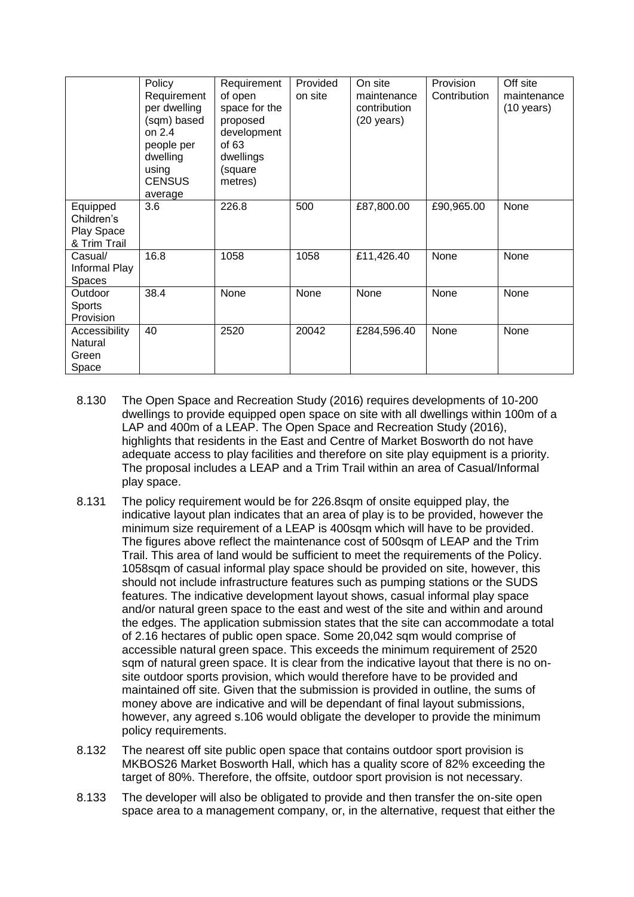|                                                      | Policy<br>Requirement<br>per dwelling                                                  | Requirement<br>of open<br>space for the                             | Provided<br>on site | On site<br>maintenance<br>contribution | Provision<br>Contribution | Off site<br>maintenance<br>$(10 \text{ years})$ |
|------------------------------------------------------|----------------------------------------------------------------------------------------|---------------------------------------------------------------------|---------------------|----------------------------------------|---------------------------|-------------------------------------------------|
|                                                      | (sqm) based<br>on $2.4$<br>people per<br>dwelling<br>using<br><b>CENSUS</b><br>average | proposed<br>development<br>of 63<br>dwellings<br>(square<br>metres) |                     | $(20 \text{ years})$                   |                           |                                                 |
| Equipped<br>Children's<br>Play Space<br>& Trim Trail | 3.6                                                                                    | 226.8                                                               | 500                 | £87,800.00                             | £90,965.00                | None                                            |
| Casual/<br>Informal Play<br><b>Spaces</b>            | 16.8                                                                                   | 1058                                                                | 1058                | £11,426.40                             | None                      | None                                            |
| Outdoor<br><b>Sports</b><br>Provision                | 38.4                                                                                   | None                                                                | None                | None                                   | None                      | None                                            |
| Accessibility<br>Natural<br>Green<br>Space           | 40                                                                                     | 2520                                                                | 20042               | £284,596.40                            | None                      | None                                            |

- 8.130 The Open Space and Recreation Study (2016) requires developments of 10-200 dwellings to provide equipped open space on site with all dwellings within 100m of a LAP and 400m of a LEAP. The Open Space and Recreation Study (2016), highlights that residents in the East and Centre of Market Bosworth do not have adequate access to play facilities and therefore on site play equipment is a priority. The proposal includes a LEAP and a Trim Trail within an area of Casual/Informal play space.
- 8.131 The policy requirement would be for 226.8sqm of onsite equipped play, the indicative layout plan indicates that an area of play is to be provided, however the minimum size requirement of a LEAP is 400sqm which will have to be provided. The figures above reflect the maintenance cost of 500sqm of LEAP and the Trim Trail. This area of land would be sufficient to meet the requirements of the Policy. 1058sqm of casual informal play space should be provided on site, however, this should not include infrastructure features such as pumping stations or the SUDS features. The indicative development layout shows, casual informal play space and/or natural green space to the east and west of the site and within and around the edges. The application submission states that the site can accommodate a total of 2.16 hectares of public open space. Some 20,042 sqm would comprise of accessible natural green space. This exceeds the minimum requirement of 2520 sqm of natural green space. It is clear from the indicative layout that there is no onsite outdoor sports provision, which would therefore have to be provided and maintained off site. Given that the submission is provided in outline, the sums of money above are indicative and will be dependant of final layout submissions, however, any agreed s.106 would obligate the developer to provide the minimum policy requirements.
- 8.132 The nearest off site public open space that contains outdoor sport provision is MKBOS26 Market Bosworth Hall, which has a quality score of 82% exceeding the target of 80%. Therefore, the offsite, outdoor sport provision is not necessary.
- 8.133 The developer will also be obligated to provide and then transfer the on-site open space area to a management company, or, in the alternative, request that either the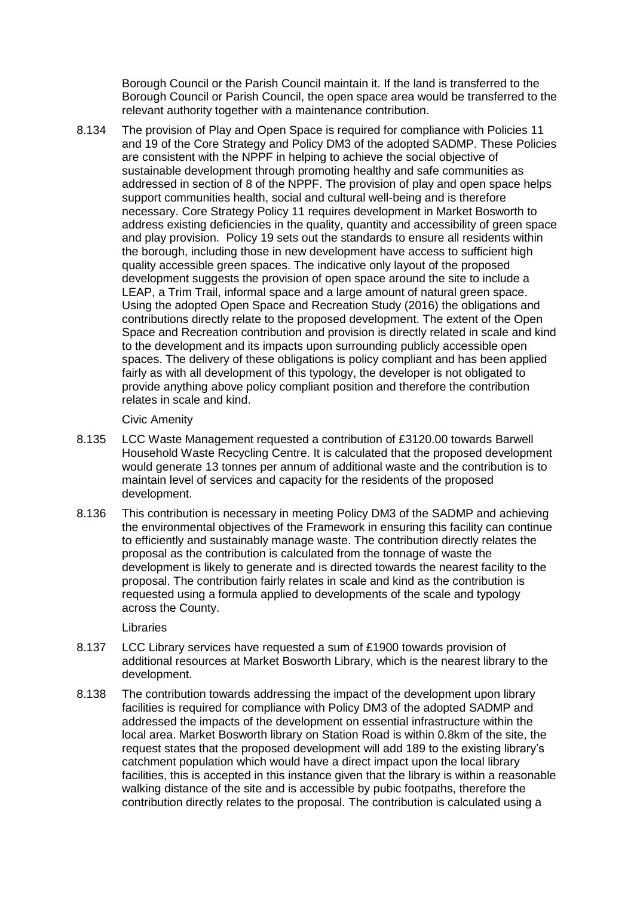Borough Council or the Parish Council maintain it. If the land is transferred to the Borough Council or Parish Council, the open space area would be transferred to the relevant authority together with a maintenance contribution.

8.134 The provision of Play and Open Space is required for compliance with Policies 11 and 19 of the Core Strategy and Policy DM3 of the adopted SADMP. These Policies are consistent with the NPPF in helping to achieve the social objective of sustainable development through promoting healthy and safe communities as addressed in section of 8 of the NPPF. The provision of play and open space helps support communities health, social and cultural well-being and is therefore necessary. Core Strategy Policy 11 requires development in Market Bosworth to address existing deficiencies in the quality, quantity and accessibility of green space and play provision. Policy 19 sets out the standards to ensure all residents within the borough, including those in new development have access to sufficient high quality accessible green spaces. The indicative only layout of the proposed development suggests the provision of open space around the site to include a LEAP, a Trim Trail, informal space and a large amount of natural green space. Using the adopted Open Space and Recreation Study (2016) the obligations and contributions directly relate to the proposed development. The extent of the Open Space and Recreation contribution and provision is directly related in scale and kind to the development and its impacts upon surrounding publicly accessible open spaces. The delivery of these obligations is policy compliant and has been applied fairly as with all development of this typology, the developer is not obligated to provide anything above policy compliant position and therefore the contribution relates in scale and kind.

#### Civic Amenity

- 8.135 LCC Waste Management requested a contribution of £3120.00 towards Barwell Household Waste Recycling Centre. It is calculated that the proposed development would generate 13 tonnes per annum of additional waste and the contribution is to maintain level of services and capacity for the residents of the proposed development.
- 8.136 This contribution is necessary in meeting Policy DM3 of the SADMP and achieving the environmental objectives of the Framework in ensuring this facility can continue to efficiently and sustainably manage waste. The contribution directly relates the proposal as the contribution is calculated from the tonnage of waste the development is likely to generate and is directed towards the nearest facility to the proposal. The contribution fairly relates in scale and kind as the contribution is requested using a formula applied to developments of the scale and typology across the County.

# Libraries

- 8.137 LCC Library services have requested a sum of £1900 towards provision of additional resources at Market Bosworth Library, which is the nearest library to the development.
- 8.138 The contribution towards addressing the impact of the development upon library facilities is required for compliance with Policy DM3 of the adopted SADMP and addressed the impacts of the development on essential infrastructure within the local area. Market Bosworth library on Station Road is within 0.8km of the site, the request states that the proposed development will add 189 to the existing library's catchment population which would have a direct impact upon the local library facilities, this is accepted in this instance given that the library is within a reasonable walking distance of the site and is accessible by pubic footpaths, therefore the contribution directly relates to the proposal. The contribution is calculated using a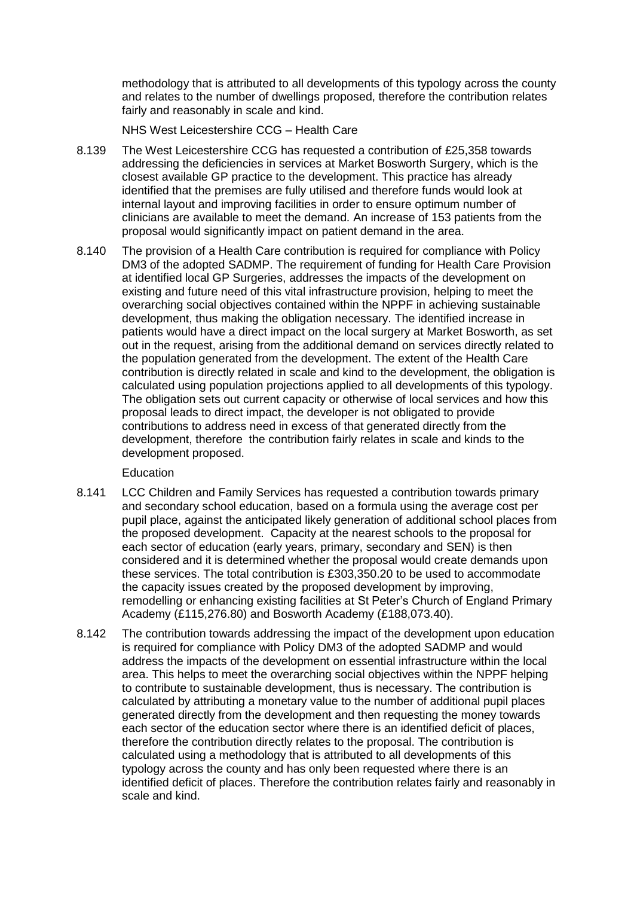methodology that is attributed to all developments of this typology across the county and relates to the number of dwellings proposed, therefore the contribution relates fairly and reasonably in scale and kind.

NHS West Leicestershire CCG – Health Care

- 8.139 The West Leicestershire CCG has requested a contribution of £25,358 towards addressing the deficiencies in services at Market Bosworth Surgery, which is the closest available GP practice to the development. This practice has already identified that the premises are fully utilised and therefore funds would look at internal layout and improving facilities in order to ensure optimum number of clinicians are available to meet the demand. An increase of 153 patients from the proposal would significantly impact on patient demand in the area.
- 8.140 The provision of a Health Care contribution is required for compliance with Policy DM3 of the adopted SADMP. The requirement of funding for Health Care Provision at identified local GP Surgeries, addresses the impacts of the development on existing and future need of this vital infrastructure provision, helping to meet the overarching social objectives contained within the NPPF in achieving sustainable development, thus making the obligation necessary. The identified increase in patients would have a direct impact on the local surgery at Market Bosworth, as set out in the request, arising from the additional demand on services directly related to the population generated from the development. The extent of the Health Care contribution is directly related in scale and kind to the development, the obligation is calculated using population projections applied to all developments of this typology. The obligation sets out current capacity or otherwise of local services and how this proposal leads to direct impact, the developer is not obligated to provide contributions to address need in excess of that generated directly from the development, therefore the contribution fairly relates in scale and kinds to the development proposed.

# Education

- 8.141 LCC Children and Family Services has requested a contribution towards primary and secondary school education, based on a formula using the average cost per pupil place, against the anticipated likely generation of additional school places from the proposed development. Capacity at the nearest schools to the proposal for each sector of education (early years, primary, secondary and SEN) is then considered and it is determined whether the proposal would create demands upon these services. The total contribution is £303,350.20 to be used to accommodate the capacity issues created by the proposed development by improving, remodelling or enhancing existing facilities at St Peter's Church of England Primary Academy (£115,276.80) and Bosworth Academy (£188,073.40).
- 8.142 The contribution towards addressing the impact of the development upon education is required for compliance with Policy DM3 of the adopted SADMP and would address the impacts of the development on essential infrastructure within the local area. This helps to meet the overarching social objectives within the NPPF helping to contribute to sustainable development, thus is necessary. The contribution is calculated by attributing a monetary value to the number of additional pupil places generated directly from the development and then requesting the money towards each sector of the education sector where there is an identified deficit of places, therefore the contribution directly relates to the proposal. The contribution is calculated using a methodology that is attributed to all developments of this typology across the county and has only been requested where there is an identified deficit of places. Therefore the contribution relates fairly and reasonably in scale and kind.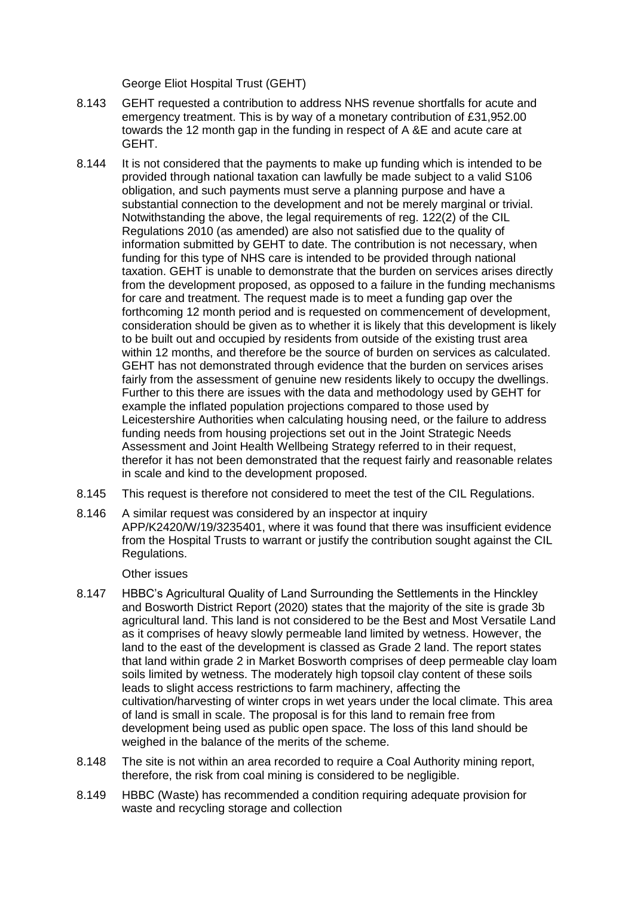George Eliot Hospital Trust (GEHT)

- 8.143 GEHT requested a contribution to address NHS revenue shortfalls for acute and emergency treatment. This is by way of a monetary contribution of £31,952.00 towards the 12 month gap in the funding in respect of A &E and acute care at GEHT.
- 8.144 It is not considered that the payments to make up funding which is intended to be provided through national taxation can lawfully be made subject to a valid S106 obligation, and such payments must serve a planning purpose and have a substantial connection to the development and not be merely marginal or trivial. Notwithstanding the above, the legal requirements of reg. 122(2) of the CIL Regulations 2010 (as amended) are also not satisfied due to the quality of information submitted by GEHT to date. The contribution is not necessary, when funding for this type of NHS care is intended to be provided through national taxation. GEHT is unable to demonstrate that the burden on services arises directly from the development proposed, as opposed to a failure in the funding mechanisms for care and treatment. The request made is to meet a funding gap over the forthcoming 12 month period and is requested on commencement of development, consideration should be given as to whether it is likely that this development is likely to be built out and occupied by residents from outside of the existing trust area within 12 months, and therefore be the source of burden on services as calculated. GEHT has not demonstrated through evidence that the burden on services arises fairly from the assessment of genuine new residents likely to occupy the dwellings. Further to this there are issues with the data and methodology used by GEHT for example the inflated population projections compared to those used by Leicestershire Authorities when calculating housing need, or the failure to address funding needs from housing projections set out in the Joint Strategic Needs Assessment and Joint Health Wellbeing Strategy referred to in their request, therefor it has not been demonstrated that the request fairly and reasonable relates in scale and kind to the development proposed.
- 8.145 This request is therefore not considered to meet the test of the CIL Regulations.
- 8.146 A similar request was considered by an inspector at inquiry APP/K2420/W/19/3235401, where it was found that there was insufficient evidence from the Hospital Trusts to warrant or justify the contribution sought against the CIL Regulations.

Other issues

- 8.147 HBBC's Agricultural Quality of Land Surrounding the Settlements in the Hinckley and Bosworth District Report (2020) states that the majority of the site is grade 3b agricultural land. This land is not considered to be the Best and Most Versatile Land as it comprises of heavy slowly permeable land limited by wetness. However, the land to the east of the development is classed as Grade 2 land. The report states that land within grade 2 in Market Bosworth comprises of deep permeable clay loam soils limited by wetness. The moderately high topsoil clay content of these soils leads to slight access restrictions to farm machinery, affecting the cultivation/harvesting of winter crops in wet years under the local climate. This area of land is small in scale. The proposal is for this land to remain free from development being used as public open space. The loss of this land should be weighed in the balance of the merits of the scheme.
- 8.148 The site is not within an area recorded to require a Coal Authority mining report, therefore, the risk from coal mining is considered to be negligible.
- 8.149 HBBC (Waste) has recommended a condition requiring adequate provision for waste and recycling storage and collection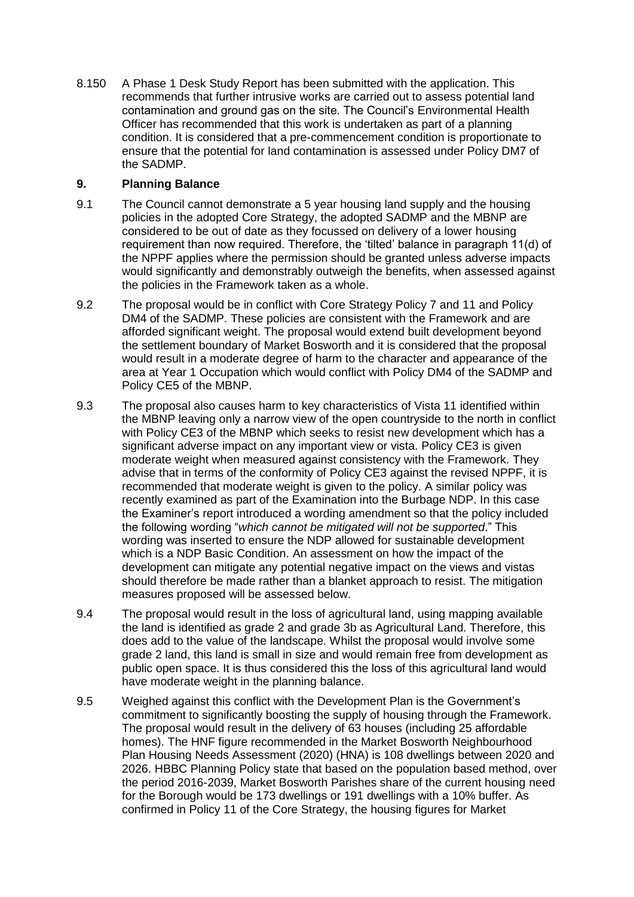8.150 A Phase 1 Desk Study Report has been submitted with the application. This recommends that further intrusive works are carried out to assess potential land contamination and ground gas on the site. The Council's Environmental Health Officer has recommended that this work is undertaken as part of a planning condition. It is considered that a pre-commencement condition is proportionate to ensure that the potential for land contamination is assessed under Policy DM7 of the SADMP.

# **9. Planning Balance**

- 9.1 The Council cannot demonstrate a 5 year housing land supply and the housing policies in the adopted Core Strategy, the adopted SADMP and the MBNP are considered to be out of date as they focussed on delivery of a lower housing requirement than now required. Therefore, the 'tilted' balance in paragraph 11(d) of the NPPF applies where the permission should be granted unless adverse impacts would significantly and demonstrably outweigh the benefits, when assessed against the policies in the Framework taken as a whole.
- 9.2 The proposal would be in conflict with Core Strategy Policy 7 and 11 and Policy DM4 of the SADMP. These policies are consistent with the Framework and are afforded significant weight. The proposal would extend built development beyond the settlement boundary of Market Bosworth and it is considered that the proposal would result in a moderate degree of harm to the character and appearance of the area at Year 1 Occupation which would conflict with Policy DM4 of the SADMP and Policy CE5 of the MBNP.
- 9.3 The proposal also causes harm to key characteristics of Vista 11 identified within the MBNP leaving only a narrow view of the open countryside to the north in conflict with Policy CE3 of the MBNP which seeks to resist new development which has a significant adverse impact on any important view or vista. Policy CE3 is given moderate weight when measured against consistency with the Framework. They advise that in terms of the conformity of Policy CE3 against the revised NPPF, it is recommended that moderate weight is given to the policy. A similar policy was recently examined as part of the Examination into the Burbage NDP. In this case the Examiner's report introduced a wording amendment so that the policy included the following wording "*which cannot be mitigated will not be supported*." This wording was inserted to ensure the NDP allowed for sustainable development which is a NDP Basic Condition. An assessment on how the impact of the development can mitigate any potential negative impact on the views and vistas should therefore be made rather than a blanket approach to resist. The mitigation measures proposed will be assessed below.
- 9.4 The proposal would result in the loss of agricultural land, using mapping available the land is identified as grade 2 and grade 3b as Agricultural Land. Therefore, this does add to the value of the landscape. Whilst the proposal would involve some grade 2 land, this land is small in size and would remain free from development as public open space. It is thus considered this the loss of this agricultural land would have moderate weight in the planning balance.
- 9.5 Weighed against this conflict with the Development Plan is the Government's commitment to significantly boosting the supply of housing through the Framework. The proposal would result in the delivery of 63 houses (including 25 affordable homes). The HNF figure recommended in the Market Bosworth Neighbourhood Plan Housing Needs Assessment (2020) (HNA) is 108 dwellings between 2020 and 2026. HBBC Planning Policy state that based on the population based method, over the period 2016-2039, Market Bosworth Parishes share of the current housing need for the Borough would be 173 dwellings or 191 dwellings with a 10% buffer. As confirmed in Policy 11 of the Core Strategy, the housing figures for Market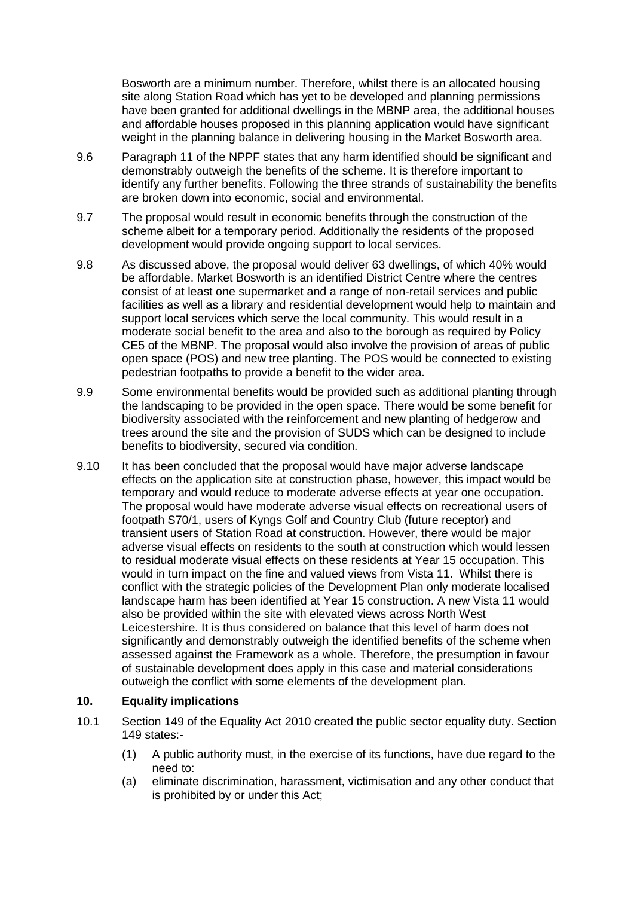Bosworth are a minimum number. Therefore, whilst there is an allocated housing site along Station Road which has yet to be developed and planning permissions have been granted for additional dwellings in the MBNP area, the additional houses and affordable houses proposed in this planning application would have significant weight in the planning balance in delivering housing in the Market Bosworth area.

- 9.6 Paragraph 11 of the NPPF states that any harm identified should be significant and demonstrably outweigh the benefits of the scheme. It is therefore important to identify any further benefits. Following the three strands of sustainability the benefits are broken down into economic, social and environmental.
- 9.7 The proposal would result in economic benefits through the construction of the scheme albeit for a temporary period. Additionally the residents of the proposed development would provide ongoing support to local services.
- 9.8 As discussed above, the proposal would deliver 63 dwellings, of which 40% would be affordable. Market Bosworth is an identified District Centre where the centres consist of at least one supermarket and a range of non-retail services and public facilities as well as a library and residential development would help to maintain and support local services which serve the local community. This would result in a moderate social benefit to the area and also to the borough as required by Policy CE5 of the MBNP. The proposal would also involve the provision of areas of public open space (POS) and new tree planting. The POS would be connected to existing pedestrian footpaths to provide a benefit to the wider area.
- 9.9 Some environmental benefits would be provided such as additional planting through the landscaping to be provided in the open space. There would be some benefit for biodiversity associated with the reinforcement and new planting of hedgerow and trees around the site and the provision of SUDS which can be designed to include benefits to biodiversity, secured via condition.
- 9.10 It has been concluded that the proposal would have major adverse landscape effects on the application site at construction phase, however, this impact would be temporary and would reduce to moderate adverse effects at year one occupation. The proposal would have moderate adverse visual effects on recreational users of footpath S70/1, users of Kyngs Golf and Country Club (future receptor) and transient users of Station Road at construction. However, there would be major adverse visual effects on residents to the south at construction which would lessen to residual moderate visual effects on these residents at Year 15 occupation. This would in turn impact on the fine and valued views from Vista 11. Whilst there is conflict with the strategic policies of the Development Plan only moderate localised landscape harm has been identified at Year 15 construction. A new Vista 11 would also be provided within the site with elevated views across North West Leicestershire. It is thus considered on balance that this level of harm does not significantly and demonstrably outweigh the identified benefits of the scheme when assessed against the Framework as a whole. Therefore, the presumption in favour of sustainable development does apply in this case and material considerations outweigh the conflict with some elements of the development plan.

# **10. Equality implications**

- 10.1 Section 149 of the Equality Act 2010 created the public sector equality duty. Section 149 states:-
	- (1) A public authority must, in the exercise of its functions, have due regard to the need to:
	- (a) eliminate discrimination, harassment, victimisation and any other conduct that is prohibited by or under this Act;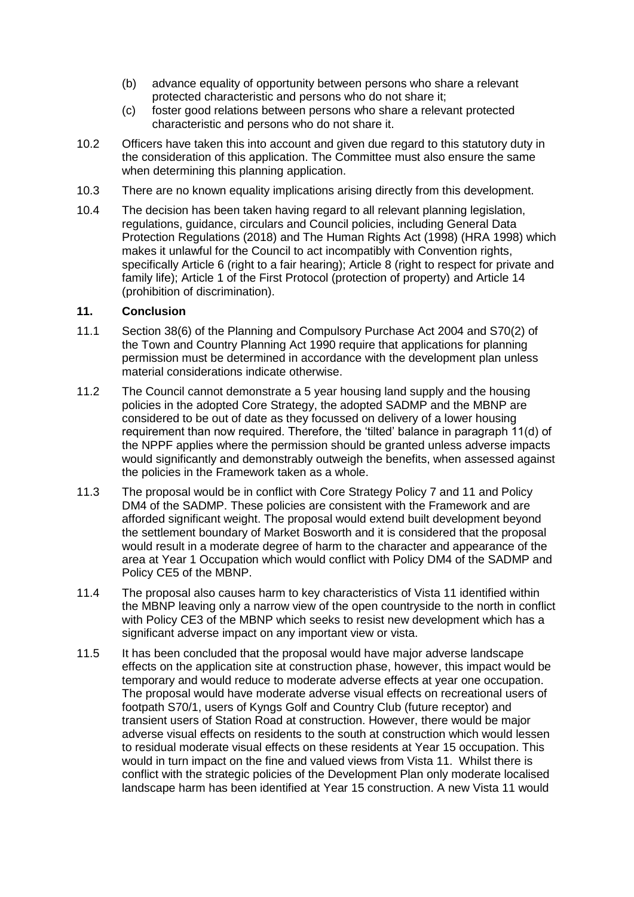- (b) advance equality of opportunity between persons who share a relevant protected characteristic and persons who do not share it;
- (c) foster good relations between persons who share a relevant protected characteristic and persons who do not share it.
- 10.2 Officers have taken this into account and given due regard to this statutory duty in the consideration of this application. The Committee must also ensure the same when determining this planning application.
- 10.3 There are no known equality implications arising directly from this development.
- 10.4 The decision has been taken having regard to all relevant planning legislation, regulations, guidance, circulars and Council policies, including General Data Protection Regulations (2018) and The Human Rights Act (1998) (HRA 1998) which makes it unlawful for the Council to act incompatibly with Convention rights, specifically Article 6 (right to a fair hearing); Article 8 (right to respect for private and family life); Article 1 of the First Protocol (protection of property) and Article 14 (prohibition of discrimination).

#### **11. Conclusion**

- 11.1 Section 38(6) of the Planning and Compulsory Purchase Act 2004 and S70(2) of the Town and Country Planning Act 1990 require that applications for planning permission must be determined in accordance with the development plan unless material considerations indicate otherwise.
- 11.2 The Council cannot demonstrate a 5 year housing land supply and the housing policies in the adopted Core Strategy, the adopted SADMP and the MBNP are considered to be out of date as they focussed on delivery of a lower housing requirement than now required. Therefore, the 'tilted' balance in paragraph 11(d) of the NPPF applies where the permission should be granted unless adverse impacts would significantly and demonstrably outweigh the benefits, when assessed against the policies in the Framework taken as a whole.
- 11.3 The proposal would be in conflict with Core Strategy Policy 7 and 11 and Policy DM4 of the SADMP. These policies are consistent with the Framework and are afforded significant weight. The proposal would extend built development beyond the settlement boundary of Market Bosworth and it is considered that the proposal would result in a moderate degree of harm to the character and appearance of the area at Year 1 Occupation which would conflict with Policy DM4 of the SADMP and Policy CE5 of the MBNP.
- 11.4 The proposal also causes harm to key characteristics of Vista 11 identified within the MBNP leaving only a narrow view of the open countryside to the north in conflict with Policy CE3 of the MBNP which seeks to resist new development which has a significant adverse impact on any important view or vista.
- 11.5 It has been concluded that the proposal would have major adverse landscape effects on the application site at construction phase, however, this impact would be temporary and would reduce to moderate adverse effects at year one occupation. The proposal would have moderate adverse visual effects on recreational users of footpath S70/1, users of Kyngs Golf and Country Club (future receptor) and transient users of Station Road at construction. However, there would be major adverse visual effects on residents to the south at construction which would lessen to residual moderate visual effects on these residents at Year 15 occupation. This would in turn impact on the fine and valued views from Vista 11. Whilst there is conflict with the strategic policies of the Development Plan only moderate localised landscape harm has been identified at Year 15 construction. A new Vista 11 would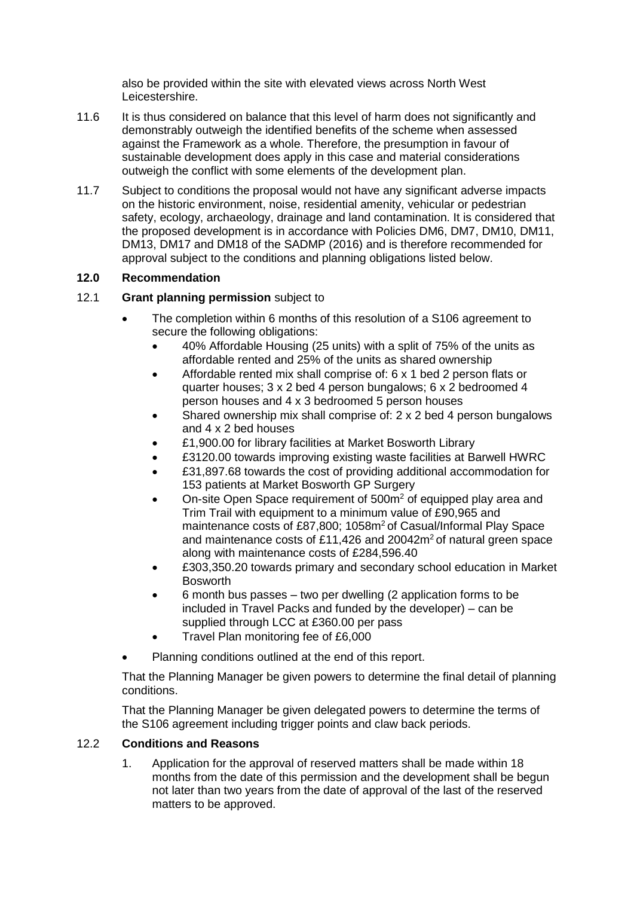also be provided within the site with elevated views across North West Leicestershire.

- 11.6 It is thus considered on balance that this level of harm does not significantly and demonstrably outweigh the identified benefits of the scheme when assessed against the Framework as a whole. Therefore, the presumption in favour of sustainable development does apply in this case and material considerations outweigh the conflict with some elements of the development plan.
- 11.7 Subject to conditions the proposal would not have any significant adverse impacts on the historic environment, noise, residential amenity, vehicular or pedestrian safety, ecology, archaeology, drainage and land contamination. It is considered that the proposed development is in accordance with Policies DM6, DM7, DM10, DM11, DM13, DM17 and DM18 of the SADMP (2016) and is therefore recommended for approval subject to the conditions and planning obligations listed below.

# **12.0 Recommendation**

- 12.1 **Grant planning permission** subject to
	- The completion within 6 months of this resolution of a S106 agreement to secure the following obligations:
		- 40% Affordable Housing (25 units) with a split of 75% of the units as affordable rented and 25% of the units as shared ownership
		- Affordable rented mix shall comprise of: 6 x 1 bed 2 person flats or quarter houses; 3 x 2 bed 4 person bungalows; 6 x 2 bedroomed 4 person houses and 4 x 3 bedroomed 5 person houses
		- Shared ownership mix shall comprise of: 2 x 2 bed 4 person bungalows and 4 x 2 bed houses
		- £1,900.00 for library facilities at Market Bosworth Library
		- £3120.00 towards improving existing waste facilities at Barwell HWRC
		- £31,897.68 towards the cost of providing additional accommodation for 153 patients at Market Bosworth GP Surgery
		- On-site Open Space requirement of 500m<sup>2</sup> of equipped play area and Trim Trail with equipment to a minimum value of £90,965 and maintenance costs of £87,800; 1058m<sup>2</sup> of Casual/Informal Play Space and maintenance costs of £11,426 and  $20042m^2$  of natural green space along with maintenance costs of £284,596.40
		- £303,350.20 towards primary and secondary school education in Market Bosworth
		- 6 month bus passes two per dwelling (2 application forms to be included in Travel Packs and funded by the developer) – can be supplied through LCC at £360.00 per pass
		- Travel Plan monitoring fee of £6,000
	- Planning conditions outlined at the end of this report.

That the Planning Manager be given powers to determine the final detail of planning conditions.

That the Planning Manager be given delegated powers to determine the terms of the S106 agreement including trigger points and claw back periods.

# 12.2 **Conditions and Reasons**

1. Application for the approval of reserved matters shall be made within 18 months from the date of this permission and the development shall be begun not later than two years from the date of approval of the last of the reserved matters to be approved.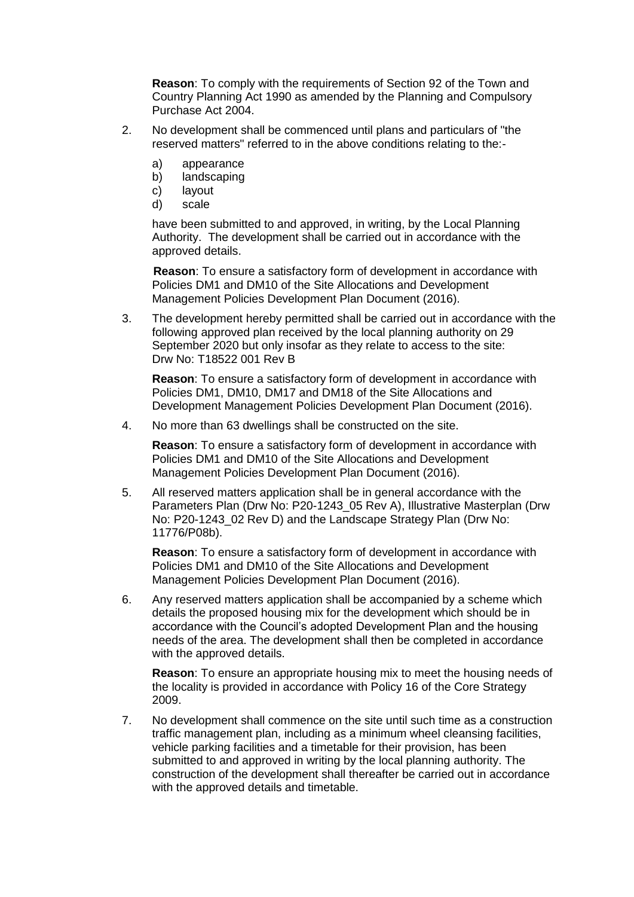**Reason**: To comply with the requirements of Section 92 of the Town and Country Planning Act 1990 as amended by the Planning and Compulsory Purchase Act 2004.

- 2. No development shall be commenced until plans and particulars of "the reserved matters" referred to in the above conditions relating to the:
	- a) appearance
	- b) landscaping
	- c) layout
	- d) scale

have been submitted to and approved, in writing, by the Local Planning Authority. The development shall be carried out in accordance with the approved details.

**Reason**: To ensure a satisfactory form of development in accordance with Policies DM1 and DM10 of the Site Allocations and Development Management Policies Development Plan Document (2016).

3. The development hereby permitted shall be carried out in accordance with the following approved plan received by the local planning authority on 29 September 2020 but only insofar as they relate to access to the site: Drw No: T18522 001 Rev B

**Reason**: To ensure a satisfactory form of development in accordance with Policies DM1, DM10, DM17 and DM18 of the Site Allocations and Development Management Policies Development Plan Document (2016).

4. No more than 63 dwellings shall be constructed on the site.

**Reason**: To ensure a satisfactory form of development in accordance with Policies DM1 and DM10 of the Site Allocations and Development Management Policies Development Plan Document (2016).

5. All reserved matters application shall be in general accordance with the Parameters Plan (Drw No: P20-1243\_05 Rev A), Illustrative Masterplan (Drw No: P20-1243 02 Rev D) and the Landscape Strategy Plan (Drw No: 11776/P08b).

**Reason**: To ensure a satisfactory form of development in accordance with Policies DM1 and DM10 of the Site Allocations and Development Management Policies Development Plan Document (2016).

6. Any reserved matters application shall be accompanied by a scheme which details the proposed housing mix for the development which should be in accordance with the Council's adopted Development Plan and the housing needs of the area. The development shall then be completed in accordance with the approved details.

**Reason**: To ensure an appropriate housing mix to meet the housing needs of the locality is provided in accordance with Policy 16 of the Core Strategy 2009.

7. No development shall commence on the site until such time as a construction traffic management plan, including as a minimum wheel cleansing facilities, vehicle parking facilities and a timetable for their provision, has been submitted to and approved in writing by the local planning authority. The construction of the development shall thereafter be carried out in accordance with the approved details and timetable.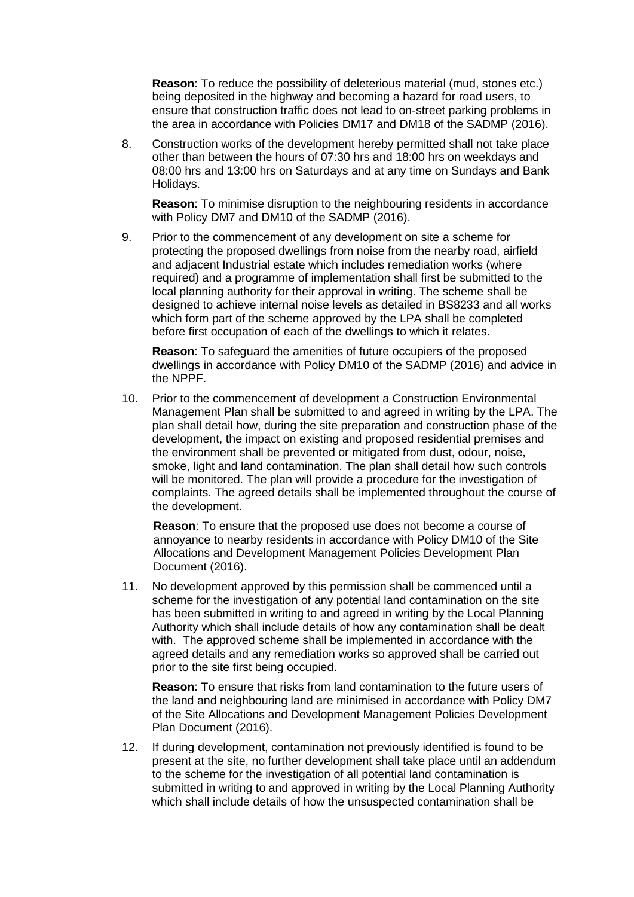**Reason**: To reduce the possibility of deleterious material (mud, stones etc.) being deposited in the highway and becoming a hazard for road users, to ensure that construction traffic does not lead to on-street parking problems in the area in accordance with Policies DM17 and DM18 of the SADMP (2016).

8. Construction works of the development hereby permitted shall not take place other than between the hours of 07:30 hrs and 18:00 hrs on weekdays and 08:00 hrs and 13:00 hrs on Saturdays and at any time on Sundays and Bank Holidays.

**Reason**: To minimise disruption to the neighbouring residents in accordance with Policy DM7 and DM10 of the SADMP (2016).

9. Prior to the commencement of any development on site a scheme for protecting the proposed dwellings from noise from the nearby road, airfield and adjacent Industrial estate which includes remediation works (where required) and a programme of implementation shall first be submitted to the local planning authority for their approval in writing. The scheme shall be designed to achieve internal noise levels as detailed in BS8233 and all works which form part of the scheme approved by the LPA shall be completed before first occupation of each of the dwellings to which it relates.

**Reason**: To safeguard the amenities of future occupiers of the proposed dwellings in accordance with Policy DM10 of the SADMP (2016) and advice in the NPPF.

10. Prior to the commencement of development a Construction Environmental Management Plan shall be submitted to and agreed in writing by the LPA. The plan shall detail how, during the site preparation and construction phase of the development, the impact on existing and proposed residential premises and the environment shall be prevented or mitigated from dust, odour, noise, smoke, light and land contamination. The plan shall detail how such controls will be monitored. The plan will provide a procedure for the investigation of complaints. The agreed details shall be implemented throughout the course of the development.

**Reason**: To ensure that the proposed use does not become a course of annoyance to nearby residents in accordance with Policy DM10 of the Site Allocations and Development Management Policies Development Plan Document (2016).

11. No development approved by this permission shall be commenced until a scheme for the investigation of any potential land contamination on the site has been submitted in writing to and agreed in writing by the Local Planning Authority which shall include details of how any contamination shall be dealt with. The approved scheme shall be implemented in accordance with the agreed details and any remediation works so approved shall be carried out prior to the site first being occupied.

**Reason**: To ensure that risks from land contamination to the future users of the land and neighbouring land are minimised in accordance with Policy DM7 of the Site Allocations and Development Management Policies Development Plan Document (2016).

12. If during development, contamination not previously identified is found to be present at the site, no further development shall take place until an addendum to the scheme for the investigation of all potential land contamination is submitted in writing to and approved in writing by the Local Planning Authority which shall include details of how the unsuspected contamination shall be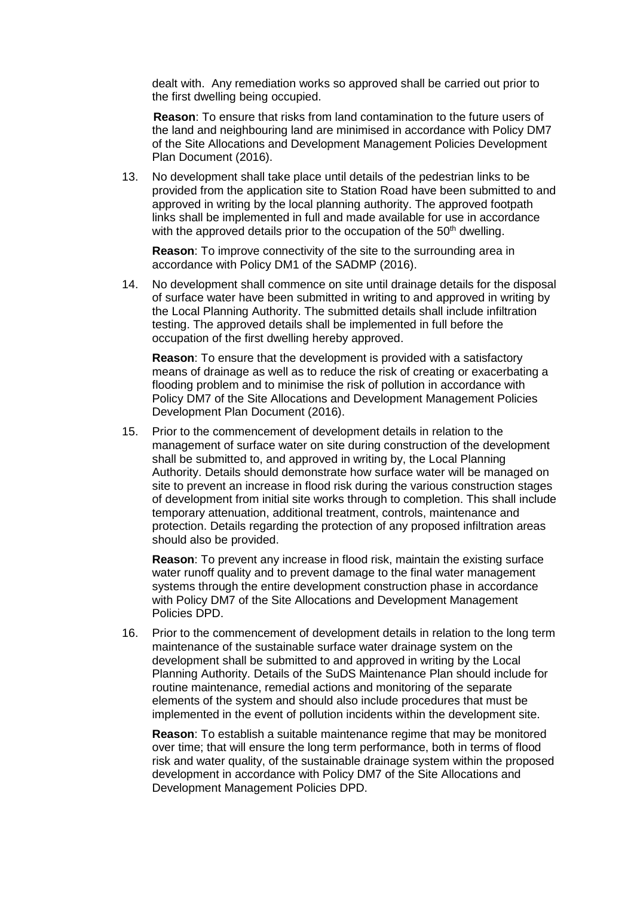dealt with. Any remediation works so approved shall be carried out prior to the first dwelling being occupied.

**Reason**: To ensure that risks from land contamination to the future users of the land and neighbouring land are minimised in accordance with Policy DM7 of the Site Allocations and Development Management Policies Development Plan Document (2016).

13. No development shall take place until details of the pedestrian links to be provided from the application site to Station Road have been submitted to and approved in writing by the local planning authority. The approved footpath links shall be implemented in full and made available for use in accordance with the approved details prior to the occupation of the  $50<sup>th</sup>$  dwelling.

**Reason**: To improve connectivity of the site to the surrounding area in accordance with Policy DM1 of the SADMP (2016).

14. No development shall commence on site until drainage details for the disposal of surface water have been submitted in writing to and approved in writing by the Local Planning Authority. The submitted details shall include infiltration testing. The approved details shall be implemented in full before the occupation of the first dwelling hereby approved.

**Reason**: To ensure that the development is provided with a satisfactory means of drainage as well as to reduce the risk of creating or exacerbating a flooding problem and to minimise the risk of pollution in accordance with Policy DM7 of the Site Allocations and Development Management Policies Development Plan Document (2016).

15. Prior to the commencement of development details in relation to the management of surface water on site during construction of the development shall be submitted to, and approved in writing by, the Local Planning Authority. Details should demonstrate how surface water will be managed on site to prevent an increase in flood risk during the various construction stages of development from initial site works through to completion. This shall include temporary attenuation, additional treatment, controls, maintenance and protection. Details regarding the protection of any proposed infiltration areas should also be provided.

**Reason**: To prevent any increase in flood risk, maintain the existing surface water runoff quality and to prevent damage to the final water management systems through the entire development construction phase in accordance with Policy DM7 of the Site Allocations and Development Management Policies DPD.

16. Prior to the commencement of development details in relation to the long term maintenance of the sustainable surface water drainage system on the development shall be submitted to and approved in writing by the Local Planning Authority. Details of the SuDS Maintenance Plan should include for routine maintenance, remedial actions and monitoring of the separate elements of the system and should also include procedures that must be implemented in the event of pollution incidents within the development site.

**Reason**: To establish a suitable maintenance regime that may be monitored over time; that will ensure the long term performance, both in terms of flood risk and water quality, of the sustainable drainage system within the proposed development in accordance with Policy DM7 of the Site Allocations and Development Management Policies DPD.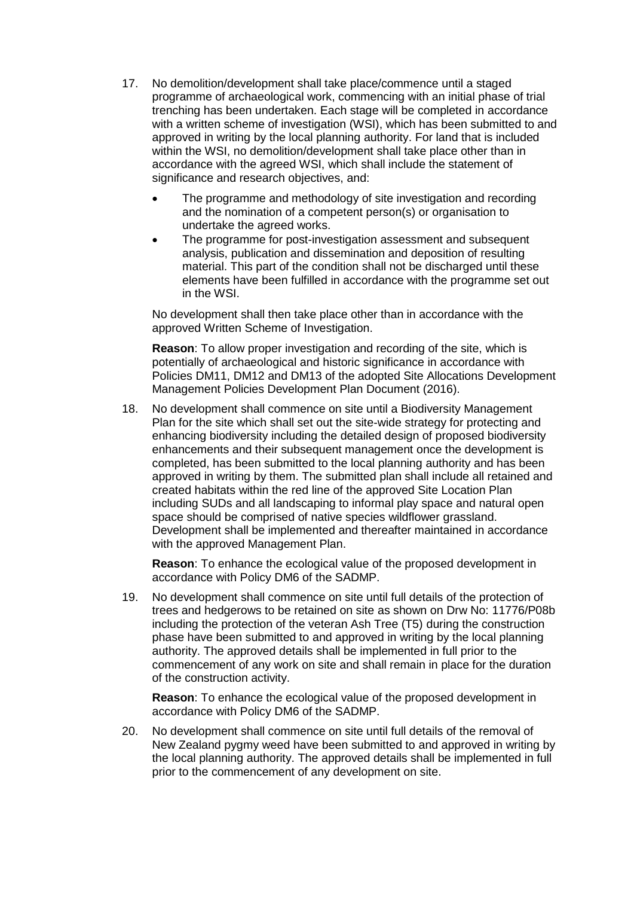- 17. No demolition/development shall take place/commence until a staged programme of archaeological work, commencing with an initial phase of trial trenching has been undertaken. Each stage will be completed in accordance with a written scheme of investigation (WSI), which has been submitted to and approved in writing by the local planning authority. For land that is included within the WSI, no demolition/development shall take place other than in accordance with the agreed WSI, which shall include the statement of significance and research objectives, and:
	- The programme and methodology of site investigation and recording and the nomination of a competent person(s) or organisation to undertake the agreed works.
	- The programme for post-investigation assessment and subsequent analysis, publication and dissemination and deposition of resulting material. This part of the condition shall not be discharged until these elements have been fulfilled in accordance with the programme set out in the WSI.

No development shall then take place other than in accordance with the approved Written Scheme of Investigation.

**Reason**: To allow proper investigation and recording of the site, which is potentially of archaeological and historic significance in accordance with Policies DM11, DM12 and DM13 of the adopted Site Allocations Development Management Policies Development Plan Document (2016).

18. No development shall commence on site until a Biodiversity Management Plan for the site which shall set out the site-wide strategy for protecting and enhancing biodiversity including the detailed design of proposed biodiversity enhancements and their subsequent management once the development is completed, has been submitted to the local planning authority and has been approved in writing by them. The submitted plan shall include all retained and created habitats within the red line of the approved Site Location Plan including SUDs and all landscaping to informal play space and natural open space should be comprised of native species wildflower grassland. Development shall be implemented and thereafter maintained in accordance with the approved Management Plan.

**Reason**: To enhance the ecological value of the proposed development in accordance with Policy DM6 of the SADMP.

19. No development shall commence on site until full details of the protection of trees and hedgerows to be retained on site as shown on Drw No: 11776/P08b including the protection of the veteran Ash Tree (T5) during the construction phase have been submitted to and approved in writing by the local planning authority. The approved details shall be implemented in full prior to the commencement of any work on site and shall remain in place for the duration of the construction activity.

**Reason**: To enhance the ecological value of the proposed development in accordance with Policy DM6 of the SADMP.

20. No development shall commence on site until full details of the removal of New Zealand pygmy weed have been submitted to and approved in writing by the local planning authority. The approved details shall be implemented in full prior to the commencement of any development on site.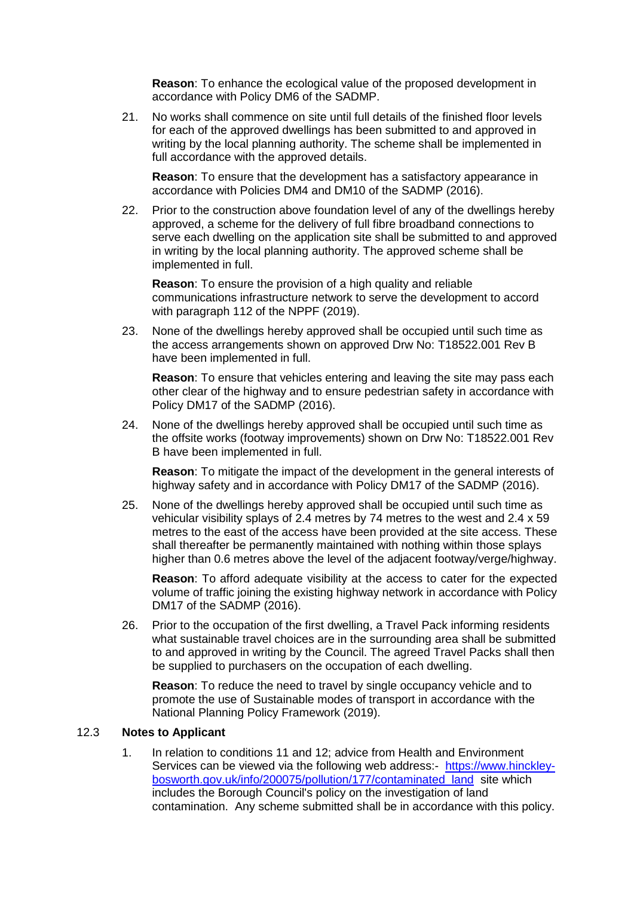**Reason**: To enhance the ecological value of the proposed development in accordance with Policy DM6 of the SADMP.

21. No works shall commence on site until full details of the finished floor levels for each of the approved dwellings has been submitted to and approved in writing by the local planning authority. The scheme shall be implemented in full accordance with the approved details.

**Reason**: To ensure that the development has a satisfactory appearance in accordance with Policies DM4 and DM10 of the SADMP (2016).

22. Prior to the construction above foundation level of any of the dwellings hereby approved, a scheme for the delivery of full fibre broadband connections to serve each dwelling on the application site shall be submitted to and approved in writing by the local planning authority. The approved scheme shall be implemented in full.

**Reason**: To ensure the provision of a high quality and reliable communications infrastructure network to serve the development to accord with paragraph 112 of the NPPF (2019).

23. None of the dwellings hereby approved shall be occupied until such time as the access arrangements shown on approved Drw No: T18522.001 Rev B have been implemented in full.

**Reason**: To ensure that vehicles entering and leaving the site may pass each other clear of the highway and to ensure pedestrian safety in accordance with Policy DM17 of the SADMP (2016).

24. None of the dwellings hereby approved shall be occupied until such time as the offsite works (footway improvements) shown on Drw No: T18522.001 Rev B have been implemented in full.

**Reason**: To mitigate the impact of the development in the general interests of highway safety and in accordance with Policy DM17 of the SADMP (2016).

25. None of the dwellings hereby approved shall be occupied until such time as vehicular visibility splays of 2.4 metres by 74 metres to the west and 2.4 x 59 metres to the east of the access have been provided at the site access. These shall thereafter be permanently maintained with nothing within those splays higher than 0.6 metres above the level of the adjacent footway/verge/highway.

**Reason**: To afford adequate visibility at the access to cater for the expected volume of traffic joining the existing highway network in accordance with Policy DM17 of the SADMP (2016).

26. Prior to the occupation of the first dwelling, a Travel Pack informing residents what sustainable travel choices are in the surrounding area shall be submitted to and approved in writing by the Council. The agreed Travel Packs shall then be supplied to purchasers on the occupation of each dwelling.

**Reason**: To reduce the need to travel by single occupancy vehicle and to promote the use of Sustainable modes of transport in accordance with the National Planning Policy Framework (2019).

#### 12.3 **Notes to Applicant**

1. In relation to conditions 11 and 12; advice from Health and Environment Services can be viewed via the following web address:- [https://www.hinckley](https://www.hinckley-bosworth.gov.uk/info/200075/pollution/177/contaminated_land)[bosworth.gov.uk/info/200075/pollution/177/contaminated\\_land](https://www.hinckley-bosworth.gov.uk/info/200075/pollution/177/contaminated_land) site which includes the Borough Council's policy on the investigation of land contamination. Any scheme submitted shall be in accordance with this policy.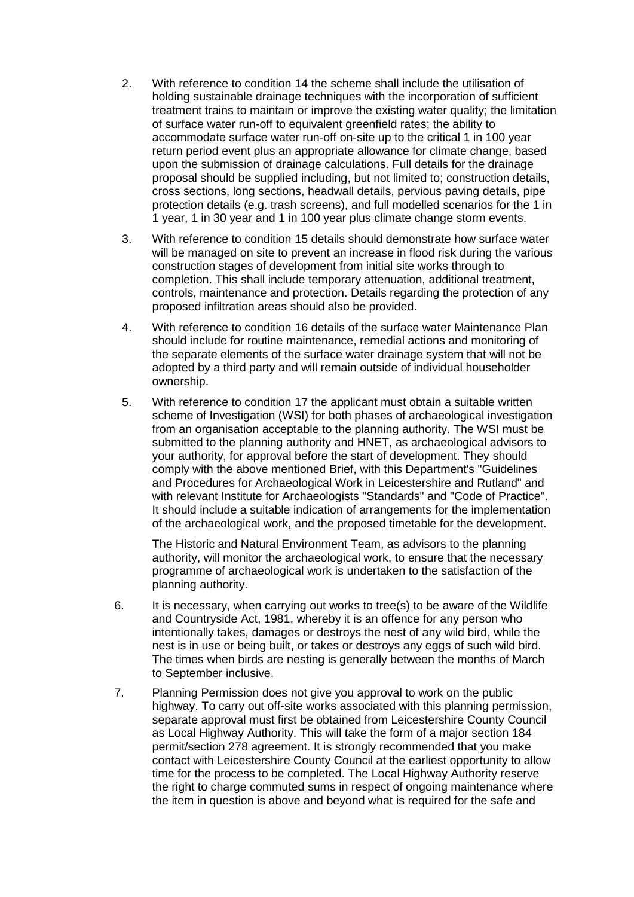- 2. With reference to condition 14 the scheme shall include the utilisation of holding sustainable drainage techniques with the incorporation of sufficient treatment trains to maintain or improve the existing water quality; the limitation of surface water run-off to equivalent greenfield rates; the ability to accommodate surface water run-off on-site up to the critical 1 in 100 year return period event plus an appropriate allowance for climate change, based upon the submission of drainage calculations. Full details for the drainage proposal should be supplied including, but not limited to; construction details, cross sections, long sections, headwall details, pervious paving details, pipe protection details (e.g. trash screens), and full modelled scenarios for the 1 in 1 year, 1 in 30 year and 1 in 100 year plus climate change storm events.
- 3. With reference to condition 15 details should demonstrate how surface water will be managed on site to prevent an increase in flood risk during the various construction stages of development from initial site works through to completion. This shall include temporary attenuation, additional treatment, controls, maintenance and protection. Details regarding the protection of any proposed infiltration areas should also be provided.
- 4. With reference to condition 16 details of the surface water Maintenance Plan should include for routine maintenance, remedial actions and monitoring of the separate elements of the surface water drainage system that will not be adopted by a third party and will remain outside of individual householder ownership.
- 5. With reference to condition 17 the applicant must obtain a suitable written scheme of Investigation (WSI) for both phases of archaeological investigation from an organisation acceptable to the planning authority. The WSI must be submitted to the planning authority and HNET, as archaeological advisors to your authority, for approval before the start of development. They should comply with the above mentioned Brief, with this Department's "Guidelines and Procedures for Archaeological Work in Leicestershire and Rutland" and with relevant Institute for Archaeologists "Standards" and "Code of Practice". It should include a suitable indication of arrangements for the implementation of the archaeological work, and the proposed timetable for the development.

The Historic and Natural Environment Team, as advisors to the planning authority, will monitor the archaeological work, to ensure that the necessary programme of archaeological work is undertaken to the satisfaction of the planning authority.

- 6. It is necessary, when carrying out works to tree(s) to be aware of the Wildlife and Countryside Act, 1981, whereby it is an offence for any person who intentionally takes, damages or destroys the nest of any wild bird, while the nest is in use or being built, or takes or destroys any eggs of such wild bird. The times when birds are nesting is generally between the months of March to September inclusive.
- 7. Planning Permission does not give you approval to work on the public highway. To carry out off-site works associated with this planning permission, separate approval must first be obtained from Leicestershire County Council as Local Highway Authority. This will take the form of a major section 184 permit/section 278 agreement. It is strongly recommended that you make contact with Leicestershire County Council at the earliest opportunity to allow time for the process to be completed. The Local Highway Authority reserve the right to charge commuted sums in respect of ongoing maintenance where the item in question is above and beyond what is required for the safe and